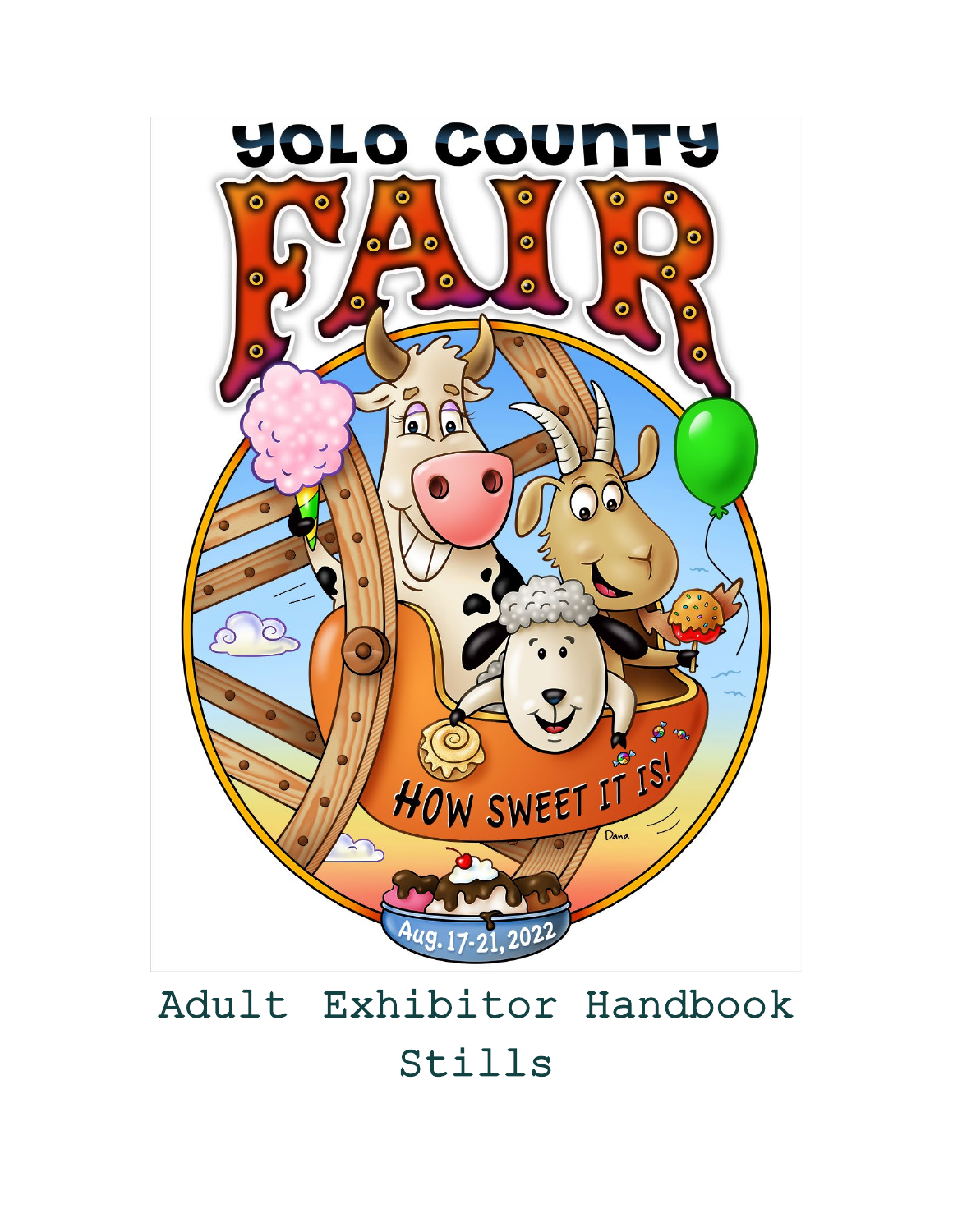

# Adult Exhibitor Handbook Stills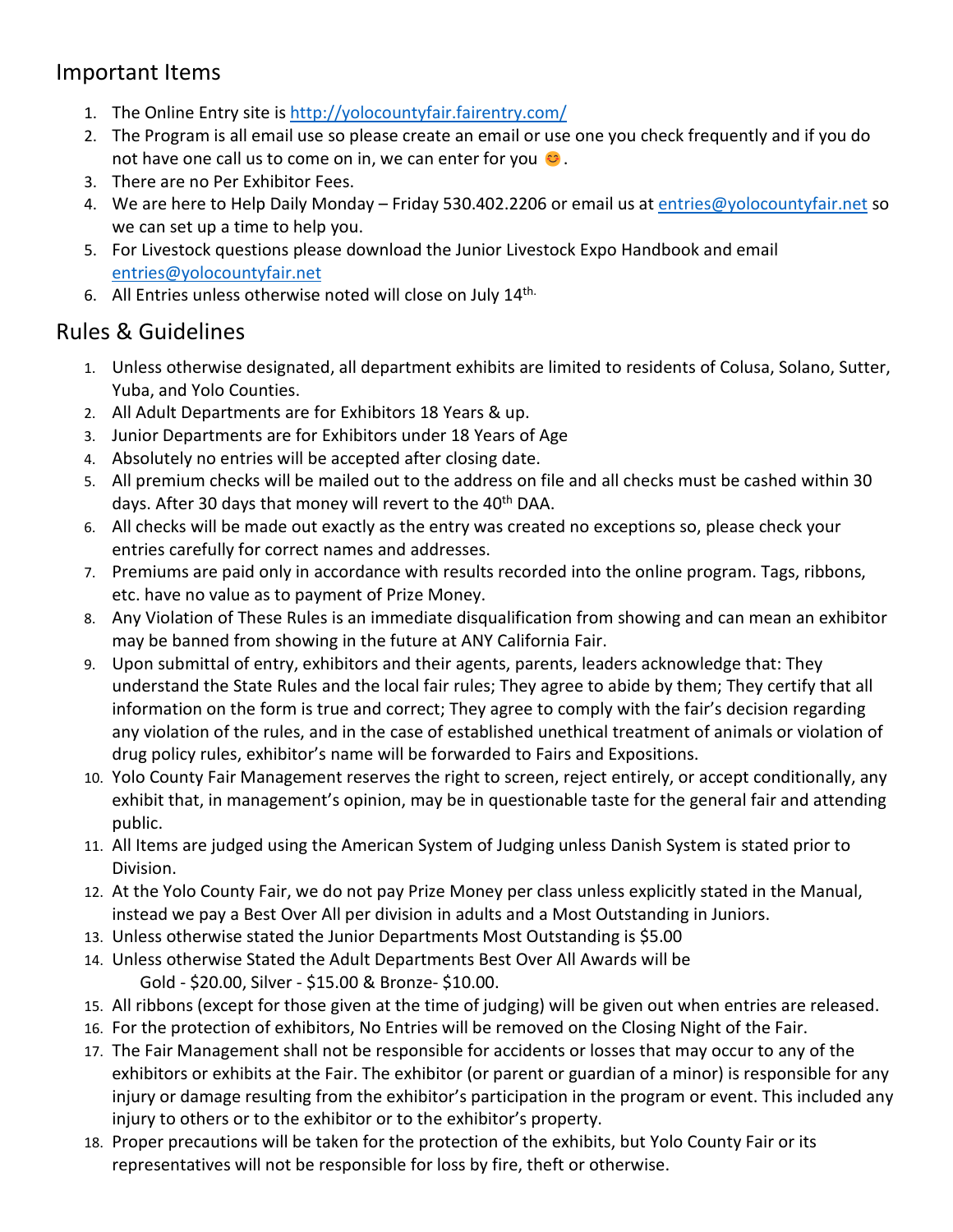### Important Items

- 1. The Online Entry site is<http://yolocountyfair.fairentry.com/>
- 2. The Program is all email use so please create an email or use one you check frequently and if you do not have one call us to come on in, we can enter for you  $\bullet$ .
- 3. There are no Per Exhibitor Fees.
- 4. We are here to Help Daily Monday Friday 530.402.2206 or email us at [entries@yolocountyfair.net](mailto:entries@yolocountyfair.net) so we can set up a time to help you.
- 5. For Livestock questions please download the Junior Livestock Expo Handbook and email [entries@yolocountyfair.net](mailto:entries@yolocountyfair.net)
- 6. All Entries unless otherwise noted will close on July 14th.

### Rules & Guidelines

- 1. Unless otherwise designated, all department exhibits are limited to residents of Colusa, Solano, Sutter, Yuba, and Yolo Counties.
- 2. All Adult Departments are for Exhibitors 18 Years & up.
- 3. Junior Departments are for Exhibitors under 18 Years of Age
- 4. Absolutely no entries will be accepted after closing date.
- 5. All premium checks will be mailed out to the address on file and all checks must be cashed within 30 days. After 30 days that money will revert to the 40<sup>th</sup> DAA.
- 6. All checks will be made out exactly as the entry was created no exceptions so, please check your entries carefully for correct names and addresses.
- 7. Premiums are paid only in accordance with results recorded into the online program. Tags, ribbons, etc. have no value as to payment of Prize Money.
- 8. Any Violation of These Rules is an immediate disqualification from showing and can mean an exhibitor may be banned from showing in the future at ANY California Fair.
- 9. Upon submittal of entry, exhibitors and their agents, parents, leaders acknowledge that: They understand the State Rules and the local fair rules; They agree to abide by them; They certify that all information on the form is true and correct; They agree to comply with the fair's decision regarding any violation of the rules, and in the case of established unethical treatment of animals or violation of drug policy rules, exhibitor's name will be forwarded to Fairs and Expositions.
- 10. Yolo County Fair Management reserves the right to screen, reject entirely, or accept conditionally, any exhibit that, in management's opinion, may be in questionable taste for the general fair and attending public.
- 11. All Items are judged using the American System of Judging unless Danish System is stated prior to Division.
- 12. At the Yolo County Fair, we do not pay Prize Money per class unless explicitly stated in the Manual, instead we pay a Best Over All per division in adults and a Most Outstanding in Juniors.
- 13. Unless otherwise stated the Junior Departments Most Outstanding is \$5.00
- 14. Unless otherwise Stated the Adult Departments Best Over All Awards will be Gold - \$20.00, Silver - \$15.00 & Bronze- \$10.00.
- 15. All ribbons (except for those given at the time of judging) will be given out when entries are released.
- 16. For the protection of exhibitors, No Entries will be removed on the Closing Night of the Fair.
- 17. The Fair Management shall not be responsible for accidents or losses that may occur to any of the exhibitors or exhibits at the Fair. The exhibitor (or parent or guardian of a minor) is responsible for any injury or damage resulting from the exhibitor's participation in the program or event. This included any injury to others or to the exhibitor or to the exhibitor's property.
- 18. Proper precautions will be taken for the protection of the exhibits, but Yolo County Fair or its representatives will not be responsible for loss by fire, theft or otherwise.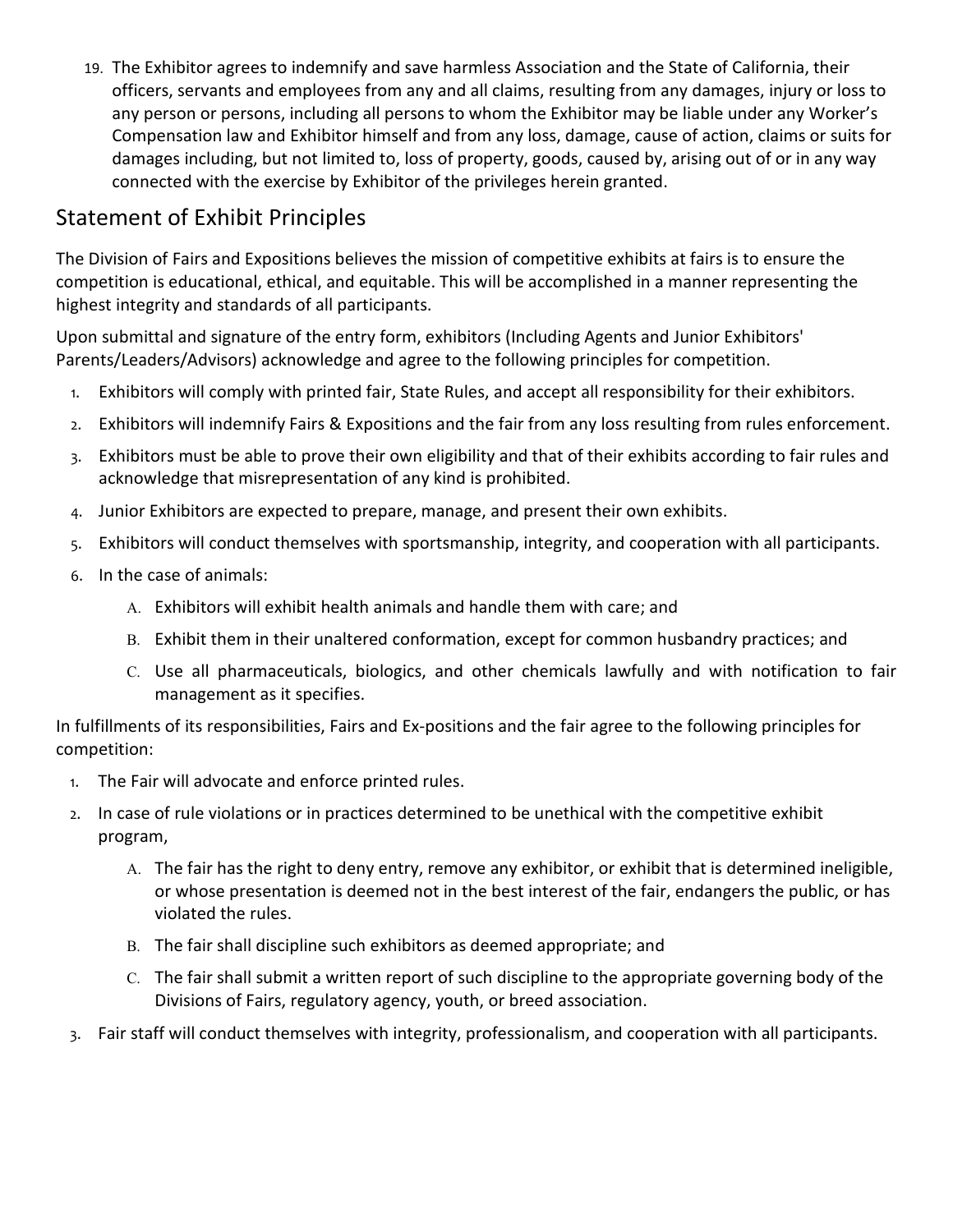19. The Exhibitor agrees to indemnify and save harmless Association and the State of California, their officers, servants and employees from any and all claims, resulting from any damages, injury or loss to any person or persons, including all persons to whom the Exhibitor may be liable under any Worker's Compensation law and Exhibitor himself and from any loss, damage, cause of action, claims or suits for damages including, but not limited to, loss of property, goods, caused by, arising out of or in any way connected with the exercise by Exhibitor of the privileges herein granted.

## Statement of Exhibit Principles

The Division of Fairs and Expositions believes the mission of competitive exhibits at fairs is to ensure the competition is educational, ethical, and equitable. This will be accomplished in a manner representing the highest integrity and standards of all participants.

Upon submittal and signature of the entry form, exhibitors (Including Agents and Junior Exhibitors' Parents/Leaders/Advisors) acknowledge and agree to the following principles for competition.

- 1. Exhibitors will comply with printed fair, State Rules, and accept all responsibility for their exhibitors.
- 2. Exhibitors will indemnify Fairs & Expositions and the fair from any loss resulting from rules enforcement.
- 3. Exhibitors must be able to prove their own eligibility and that of their exhibits according to fair rules and acknowledge that misrepresentation of any kind is prohibited.
- 4. Junior Exhibitors are expected to prepare, manage, and present their own exhibits.
- 5. Exhibitors will conduct themselves with sportsmanship, integrity, and cooperation with all participants.
- 6. In the case of animals:
	- A. Exhibitors will exhibit health animals and handle them with care; and
	- B. Exhibit them in their unaltered conformation, except for common husbandry practices; and
	- C. Use all pharmaceuticals, biologics, and other chemicals lawfully and with notification to fair management as it specifies.

In fulfillments of its responsibilities, Fairs and Ex-positions and the fair agree to the following principles for competition:

- 1. The Fair will advocate and enforce printed rules.
- 2. In case of rule violations or in practices determined to be unethical with the competitive exhibit program,
	- A. The fair has the right to deny entry, remove any exhibitor, or exhibit that is determined ineligible, or whose presentation is deemed not in the best interest of the fair, endangers the public, or has violated the rules.
	- B. The fair shall discipline such exhibitors as deemed appropriate; and
	- C. The fair shall submit a written report of such discipline to the appropriate governing body of the Divisions of Fairs, regulatory agency, youth, or breed association.
- 3. Fair staff will conduct themselves with integrity, professionalism, and cooperation with all participants.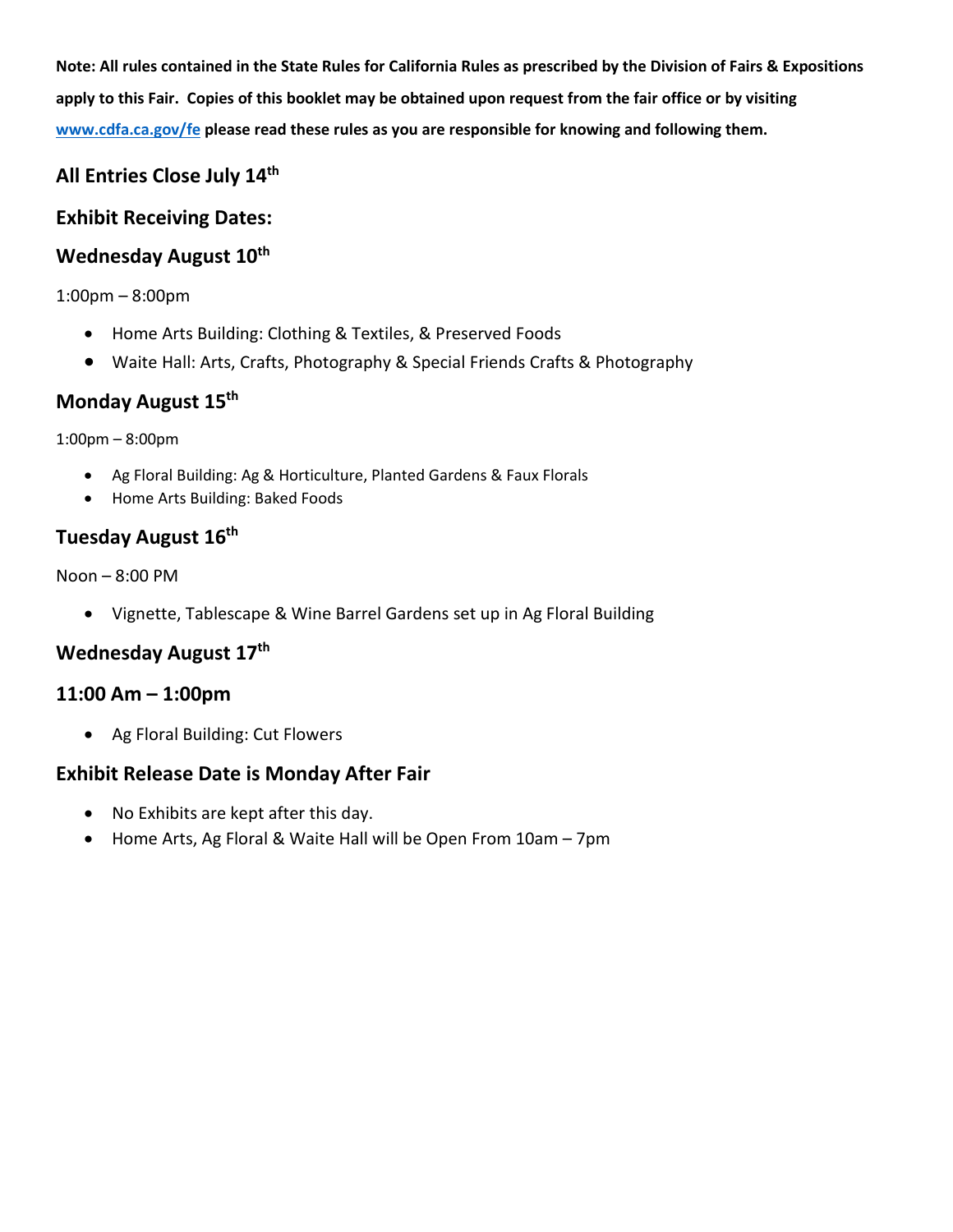**Note: All rules contained in the State Rules for California Rules as prescribed by the Division of Fairs & Expositions apply to this Fair. Copies of this booklet may be obtained upon request from the fair office or by visiting [www.cdfa.ca.gov/fe](http://www.cdfa.ca.gov/fe) please read these rules as you are responsible for knowing and following them.** 

### **All Entries Close July 14th**

### **Exhibit Receiving Dates:**

### Wednesday August 10<sup>th</sup>

#### 1:00pm – 8:00pm

- Home Arts Building: Clothing & Textiles, & Preserved Foods
- Waite Hall: Arts, Crafts, Photography & Special Friends Crafts & Photography

### **Monday August 15th**

1:00pm – 8:00pm

- Ag Floral Building: Ag & Horticulture, Planted Gardens & Faux Florals
- Home Arts Building: Baked Foods

### **Tuesday August 16th**

Noon – 8:00 PM

• Vignette, Tablescape & Wine Barrel Gardens set up in Ag Floral Building

### **Wednesday August 17th**

#### **11:00 Am – 1:00pm**

• Ag Floral Building: Cut Flowers

### **Exhibit Release Date is Monday After Fair**

- No Exhibits are kept after this day.
- Home Arts, Ag Floral & Waite Hall will be Open From 10am 7pm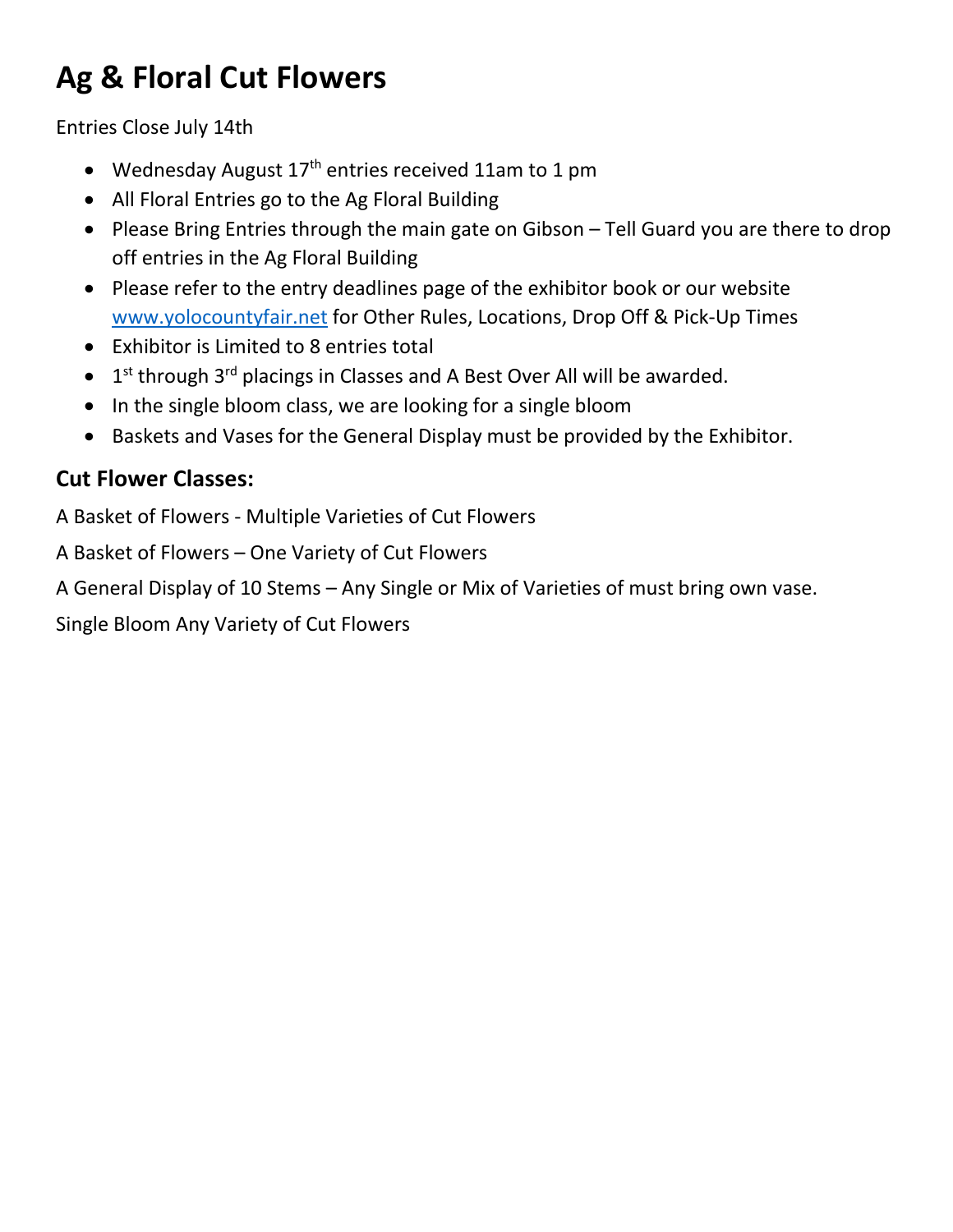## **Ag & Floral Cut Flowers**

Entries Close July 14th

- Wednesday August  $17<sup>th</sup>$  entries received 11am to 1 pm
- All Floral Entries go to the Ag Floral Building
- Please Bring Entries through the main gate on Gibson Tell Guard you are there to drop off entries in the Ag Floral Building
- Please refer to the entry deadlines page of the exhibitor book or our website [www.yolocountyfair.net](http://www.yolocountyfair.net/) for Other Rules, Locations, Drop Off & Pick-Up Times
- Exhibitor is Limited to 8 entries total
- $\bullet$  1<sup>st</sup> through 3<sup>rd</sup> placings in Classes and A Best Over All will be awarded.
- In the single bloom class, we are looking for a single bloom
- Baskets and Vases for the General Display must be provided by the Exhibitor.

## **Cut Flower Classes:**

A Basket of Flowers - Multiple Varieties of Cut Flowers

A Basket of Flowers – One Variety of Cut Flowers

A General Display of 10 Stems – Any Single or Mix of Varieties of must bring own vase.

Single Bloom Any Variety of Cut Flowers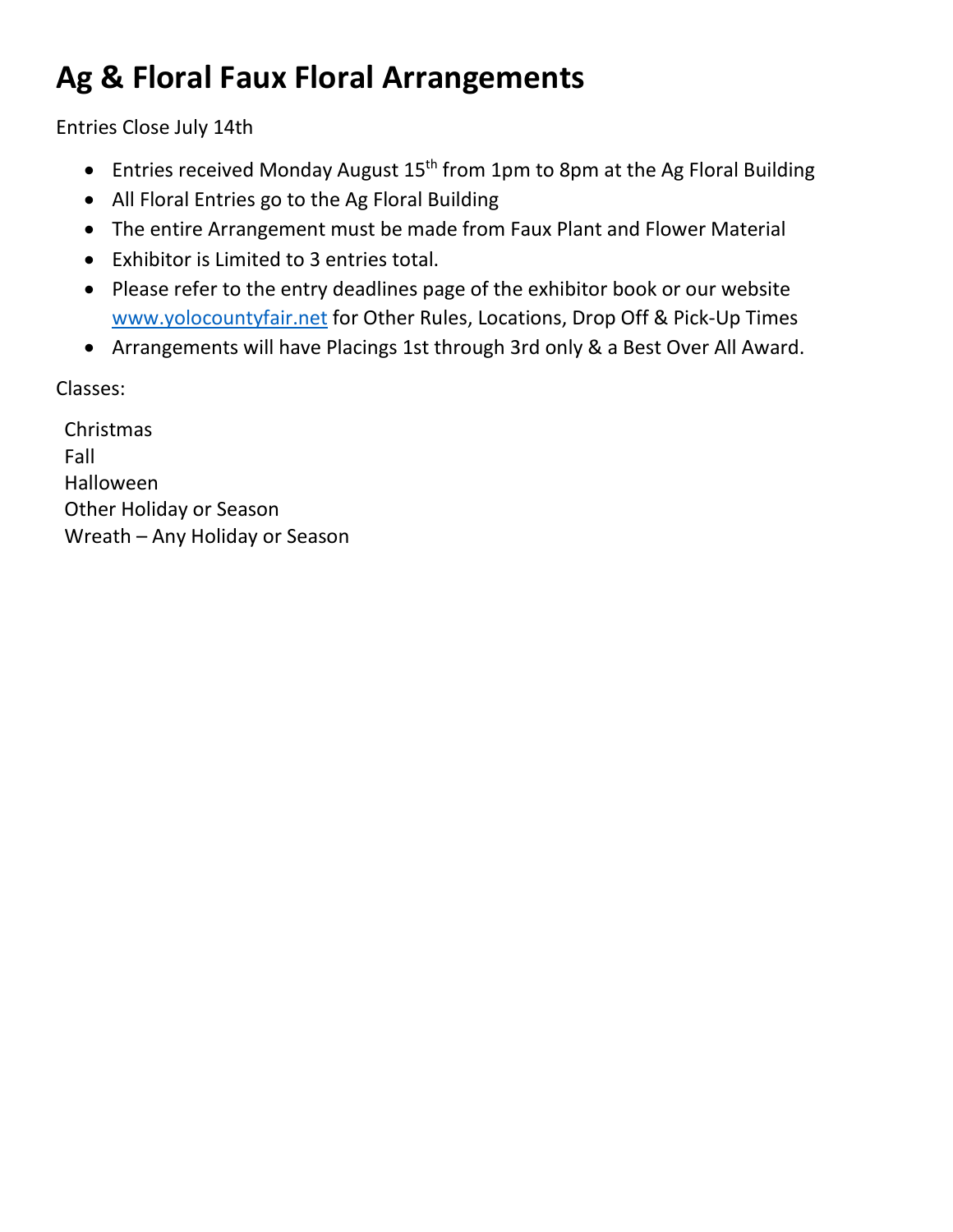## **Ag & Floral Faux Floral Arrangements**

Entries Close July 14th

- Entries received Monday August 15<sup>th</sup> from 1pm to 8pm at the Ag Floral Building
- All Floral Entries go to the Ag Floral Building
- The entire Arrangement must be made from Faux Plant and Flower Material
- Exhibitor is Limited to 3 entries total.
- Please refer to the entry deadlines page of the exhibitor book or our website [www.yolocountyfair.net](http://www.yolocountyfair.net/) for Other Rules, Locations, Drop Off & Pick-Up Times
- Arrangements will have Placings 1st through 3rd only & a Best Over All Award.

Classes:

Christmas Fall Halloween Other Holiday or Season Wreath – Any Holiday or Season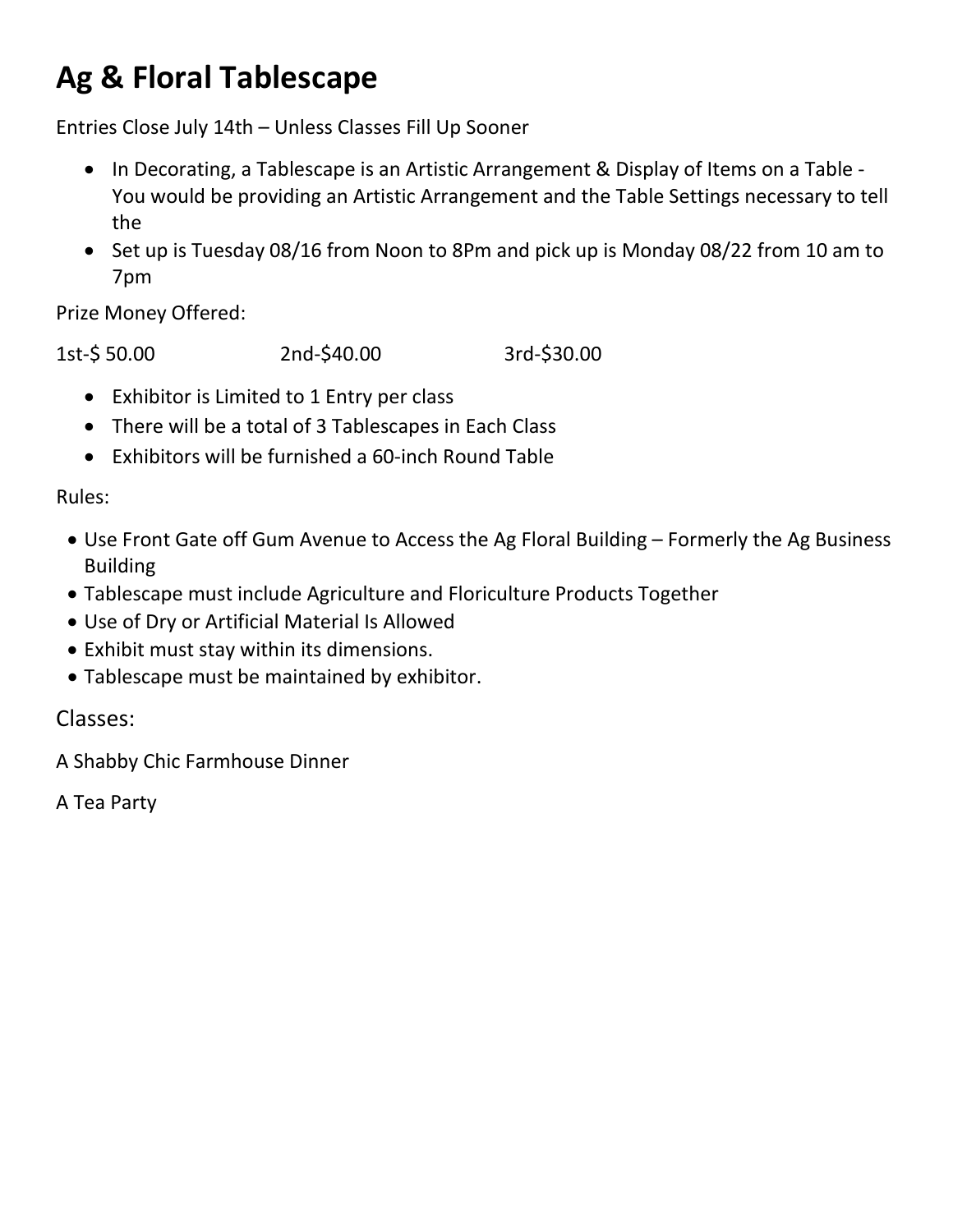## **Ag & Floral Tablescape**

Entries Close July 14th – Unless Classes Fill Up Sooner

- In Decorating, a Tablescape is an Artistic Arrangement & Display of Items on a Table You would be providing an Artistic Arrangement and the Table Settings necessary to tell the
- Set up is Tuesday 08/16 from Noon to 8Pm and pick up is Monday 08/22 from 10 am to 7pm

Prize Money Offered:

1st-\$ 50.00 2nd-\$40.00 3rd-\$30.00

- Exhibitor is Limited to 1 Entry per class
- There will be a total of 3 Tablescapes in Each Class
- Exhibitors will be furnished a 60-inch Round Table

### Rules:

- Use Front Gate off Gum Avenue to Access the Ag Floral Building Formerly the Ag Business Building
- Tablescape must include Agriculture and Floriculture Products Together
- Use of Dry or Artificial Material Is Allowed
- Exhibit must stay within its dimensions.
- Tablescape must be maintained by exhibitor.

Classes:

A Shabby Chic Farmhouse Dinner

A Tea Party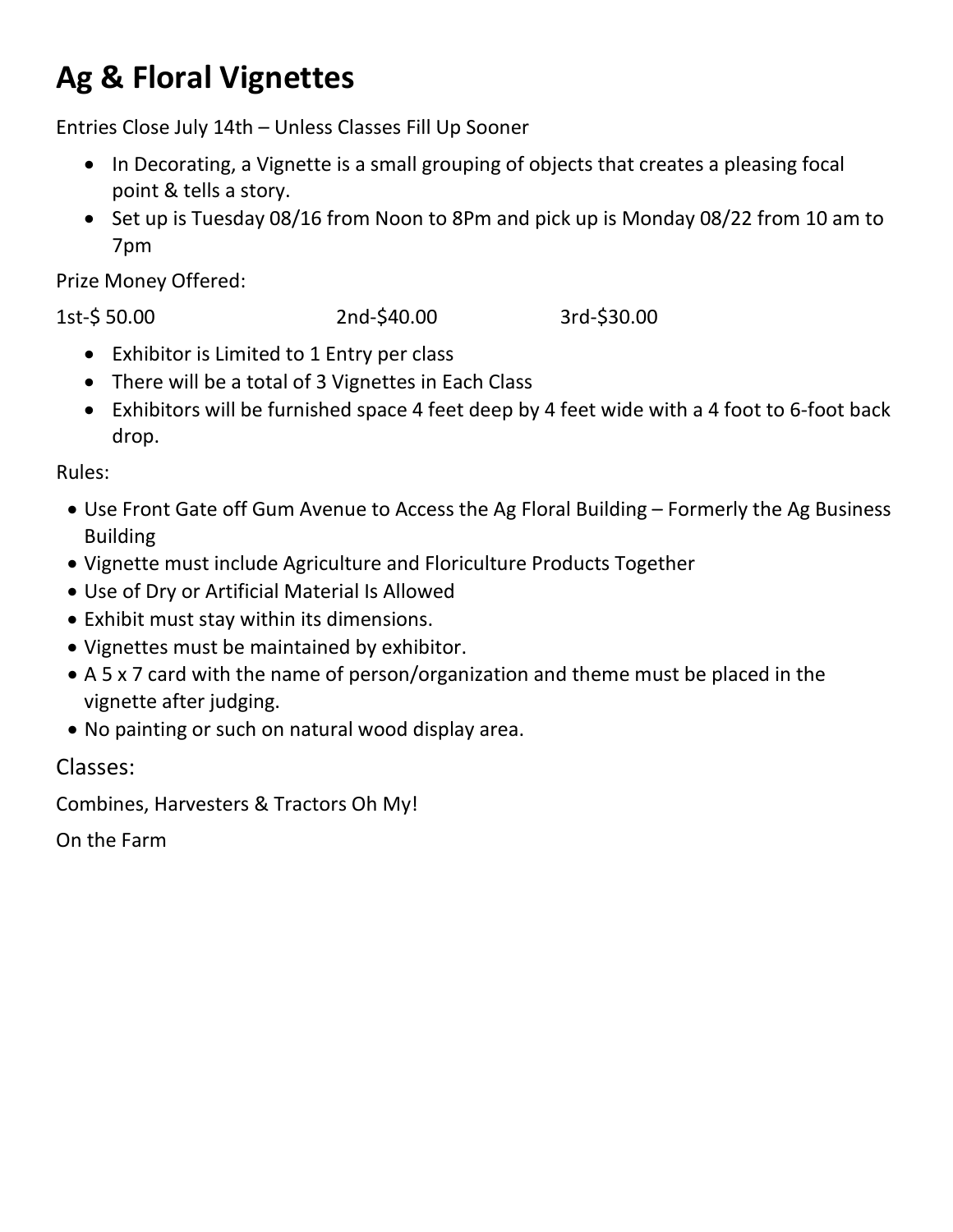## **Ag & Floral Vignettes**

Entries Close July 14th – Unless Classes Fill Up Sooner

- In Decorating, a Vignette is a small grouping of objects that creates a pleasing focal point & tells a story.
- Set up is Tuesday 08/16 from Noon to 8Pm and pick up is Monday 08/22 from 10 am to 7pm

Prize Money Offered:

1st-\$ 50.00 2nd-\$40.00 3rd-\$30.00

- Exhibitor is Limited to 1 Entry per class
- There will be a total of 3 Vignettes in Each Class
- Exhibitors will be furnished space 4 feet deep by 4 feet wide with a 4 foot to 6-foot back drop.

Rules:

- Use Front Gate off Gum Avenue to Access the Ag Floral Building Formerly the Ag Business Building
- Vignette must include Agriculture and Floriculture Products Together
- Use of Dry or Artificial Material Is Allowed
- Exhibit must stay within its dimensions.
- Vignettes must be maintained by exhibitor.
- A 5 x 7 card with the name of person/organization and theme must be placed in the vignette after judging.
- No painting or such on natural wood display area.

Classes:

Combines, Harvesters & Tractors Oh My!

On the Farm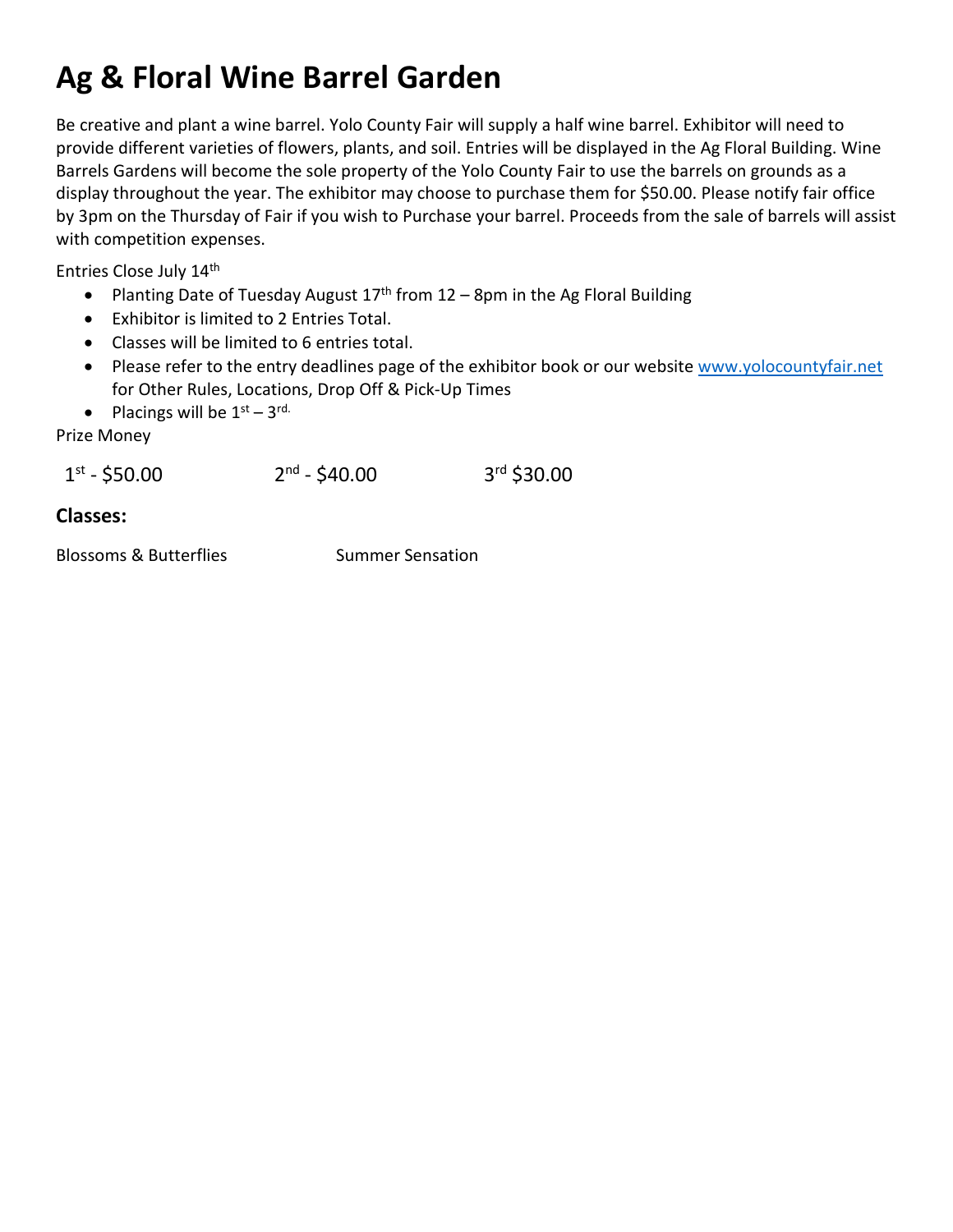## **Ag & Floral Wine Barrel Garden**

Be creative and plant a wine barrel. Yolo County Fair will supply a half wine barrel. Exhibitor will need to provide different varieties of flowers, plants, and soil. Entries will be displayed in the Ag Floral Building. Wine Barrels Gardens will become the sole property of the Yolo County Fair to use the barrels on grounds as a display throughout the year. The exhibitor may choose to purchase them for \$50.00. Please notify fair office by 3pm on the Thursday of Fair if you wish to Purchase your barrel. Proceeds from the sale of barrels will assist with competition expenses.

Entries Close July 14th

- Planting Date of Tuesday August  $17<sup>th</sup>$  from  $12 8$ pm in the Ag Floral Building
- Exhibitor is limited to 2 Entries Total.
- Classes will be limited to 6 entries total.
- Please refer to the entry deadlines page of the exhibitor book or our website [www.yolocountyfair.net](http://www.yolocountyfair.net/) for Other Rules, Locations, Drop Off & Pick-Up Times
- Placings will be  $1<sup>st</sup> 3<sup>rd</sup>$ .

Prize Money

 $1^{st}$  - \$50.00 2<sup>nd</sup> - \$40.00 3<sup>rd</sup> \$30.00

#### **Classes:**

Blossoms & Butterflies Summer Sensation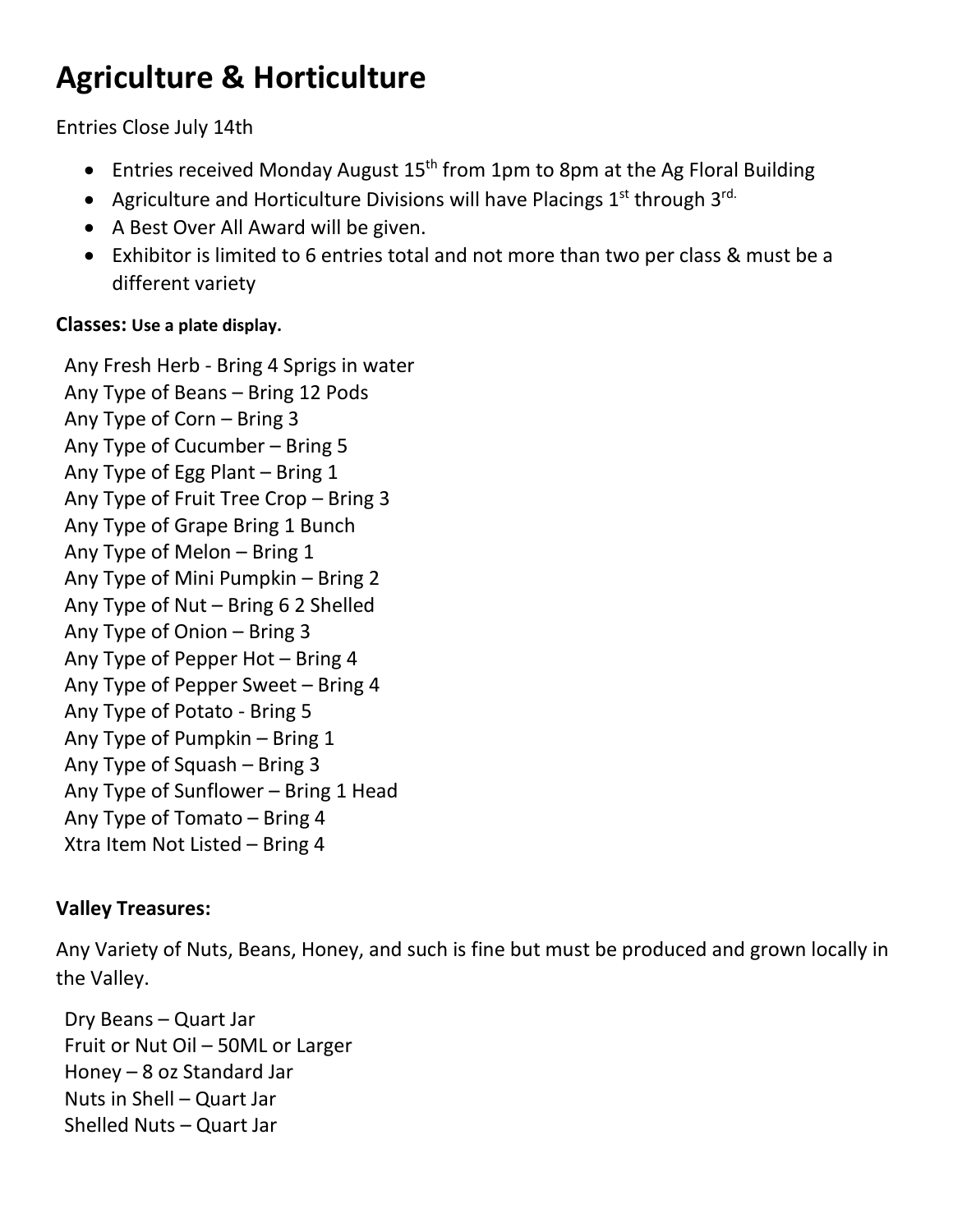## **Agriculture & Horticulture**

Entries Close July 14th

- Entries received Monday August  $15<sup>th</sup>$  from 1pm to 8pm at the Ag Floral Building
- Agriculture and Horticulture Divisions will have Placings  $1^{st}$  through  $3^{rd}$ .
- A Best Over All Award will be given.
- Exhibitor is limited to 6 entries total and not more than two per class & must be a different variety

### **Classes: Use a plate display.**

Any Fresh Herb - Bring 4 Sprigs in water Any Type of Beans – Bring 12 Pods Any Type of Corn – Bring 3 Any Type of Cucumber – Bring 5 Any Type of Egg Plant – Bring 1 Any Type of Fruit Tree Crop – Bring 3 Any Type of Grape Bring 1 Bunch Any Type of Melon – Bring 1 Any Type of Mini Pumpkin – Bring 2 Any Type of Nut – Bring 6 2 Shelled Any Type of Onion – Bring 3 Any Type of Pepper Hot – Bring 4 Any Type of Pepper Sweet – Bring 4 Any Type of Potato - Bring 5 Any Type of Pumpkin – Bring 1 Any Type of Squash – Bring 3 Any Type of Sunflower – Bring 1 Head Any Type of Tomato – Bring 4 Xtra Item Not Listed – Bring 4

### **Valley Treasures:**

Any Variety of Nuts, Beans, Honey, and such is fine but must be produced and grown locally in the Valley.

Dry Beans – Quart Jar Fruit or Nut Oil – 50ML or Larger Honey – 8 oz Standard Jar Nuts in Shell – Quart Jar Shelled Nuts – Quart Jar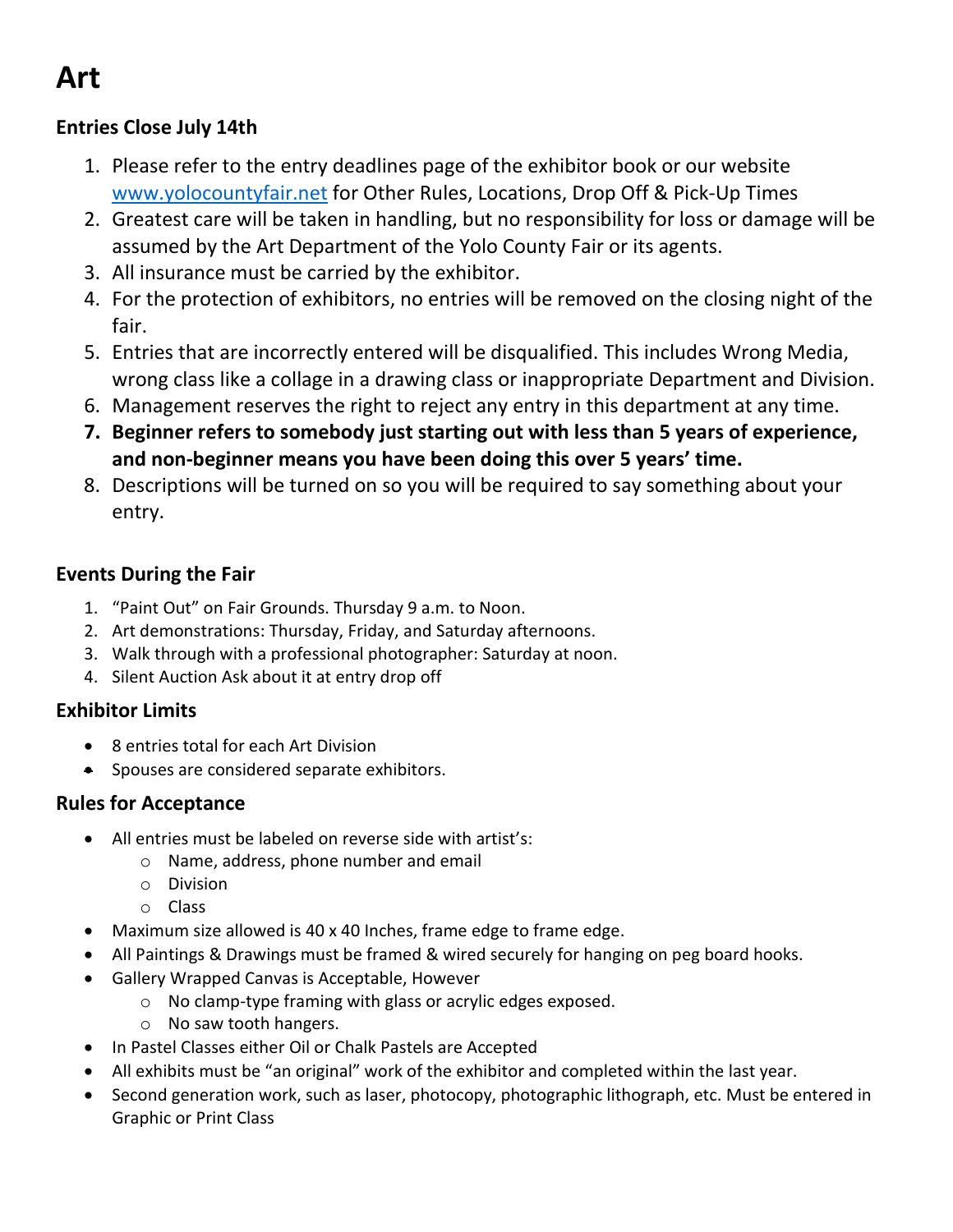## **Art**

### **Entries Close July 14th**

- 1. Please refer to the entry deadlines page of the exhibitor book or our website [www.yolocountyfair.net](http://www.yolocountyfair.net/) for Other Rules, Locations, Drop Off & Pick-Up Times
- 2. Greatest care will be taken in handling, but no responsibility for loss or damage will be assumed by the Art Department of the Yolo County Fair or its agents.
- 3. All insurance must be carried by the exhibitor.
- 4. For the protection of exhibitors, no entries will be removed on the closing night of the fair.
- 5. Entries that are incorrectly entered will be disqualified. This includes Wrong Media, wrong class like a collage in a drawing class or inappropriate Department and Division.
- 6. Management reserves the right to reject any entry in this department at any time.
- **7. Beginner refers to somebody just starting out with less than 5 years of experience, and non-beginner means you have been doing this over 5 years' time.**
- 8. Descriptions will be turned on so you will be required to say something about your entry.

### **Events During the Fair**

- 1. "Paint Out" on Fair Grounds. Thursday 9 a.m. to Noon.
- 2. Art demonstrations: Thursday, Friday, and Saturday afternoons.
- 3. Walk through with a professional photographer: Saturday at noon.
- 4. Silent Auction Ask about it at entry drop off

### **Exhibitor Limits**

- 8 entries total for each Art Division
- Spouses are considered separate exhibitors.

### **Rules for Acceptance**

- All entries must be labeled on reverse side with artist's:
	- o Name, address, phone number and email
	- o Division
	- o Class
- Maximum size allowed is 40 x 40 Inches, frame edge to frame edge.
- All Paintings & Drawings must be framed & wired securely for hanging on peg board hooks.
- Gallery Wrapped Canvas is Acceptable, However
	- o No clamp-type framing with glass or acrylic edges exposed.
	- o No saw tooth hangers.
- In Pastel Classes either Oil or Chalk Pastels are Accepted
- All exhibits must be "an original" work of the exhibitor and completed within the last year.
- Second generation work, such as laser, photocopy, photographic lithograph, etc. Must be entered in Graphic or Print Class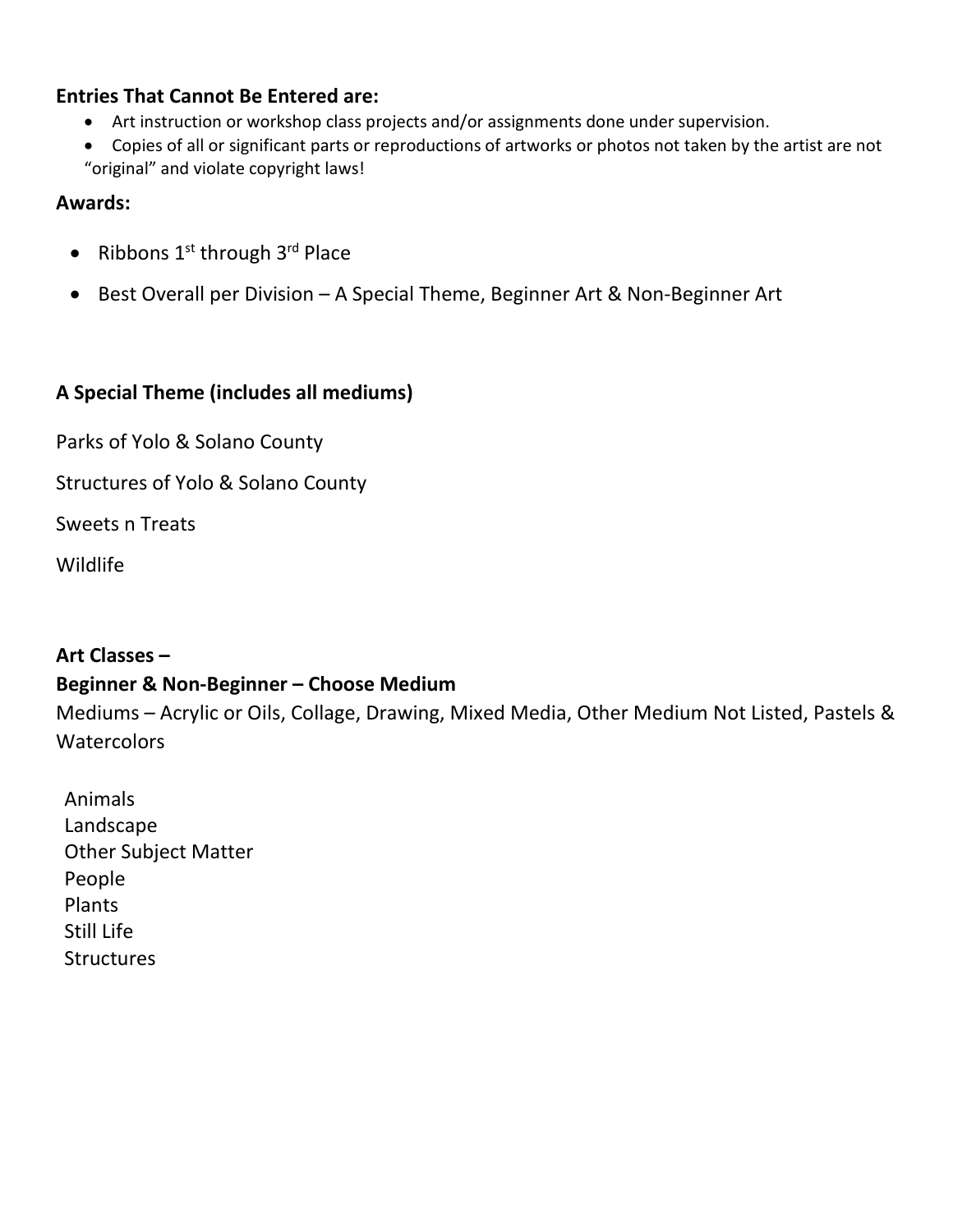### **Entries That Cannot Be Entered are:**

- Art instruction or workshop class projects and/or assignments done under supervision.
- Copies of all or significant parts or reproductions of artworks or photos not taken by the artist are not "original" and violate copyright laws!

#### **Awards:**

- Ribbons  $1^{st}$  through  $3^{rd}$  Place
- Best Overall per Division A Special Theme, Beginner Art & Non-Beginner Art

### **A Special Theme (includes all mediums)**

Parks of Yolo & Solano County

Structures of Yolo & Solano County

Sweets n Treats

Wildlife

### **Art Classes –**

### **Beginner & Non-Beginner – Choose Medium**

Mediums – Acrylic or Oils, Collage, Drawing, Mixed Media, Other Medium Not Listed, Pastels & **Watercolors** 

Animals Landscape Other Subject Matter People Plants Still Life **Structures**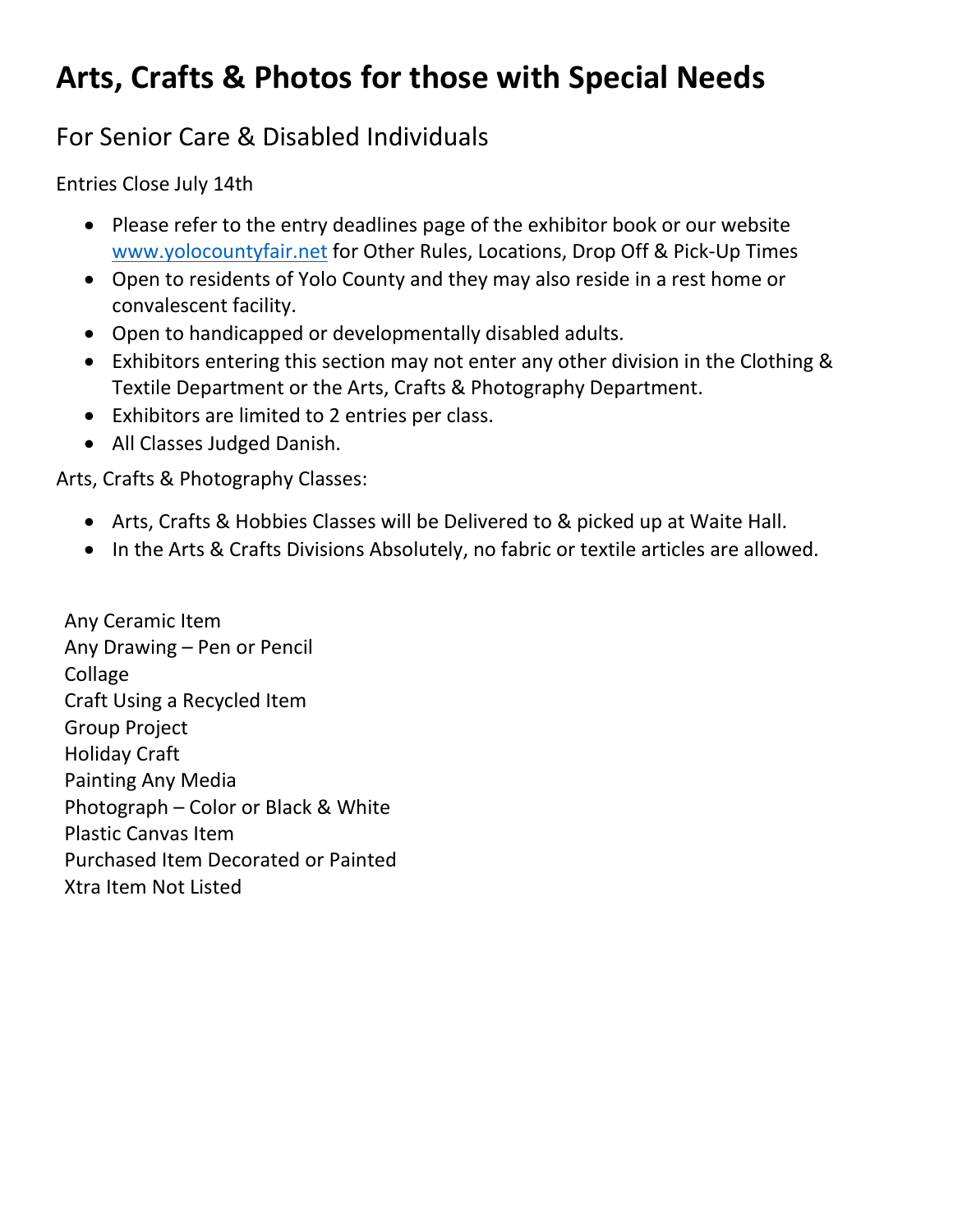## **Arts, Crafts & Photos for those with Special Needs**

## For Senior Care & Disabled Individuals

Entries Close July 14th

- Please refer to the entry deadlines page of the exhibitor book or our website [www.yolocountyfair.net](http://www.yolocountyfair.net/) for Other Rules, Locations, Drop Off & Pick-Up Times
- Open to residents of Yolo County and they may also reside in a rest home or convalescent facility.
- Open to handicapped or developmentally disabled adults.
- Exhibitors entering this section may not enter any other division in the Clothing & Textile Department or the Arts, Crafts & Photography Department.
- Exhibitors are limited to 2 entries per class.
- All Classes Judged Danish.

Arts, Crafts & Photography Classes:

- Arts, Crafts & Hobbies Classes will be Delivered to & picked up at Waite Hall.
- In the Arts & Crafts Divisions Absolutely, no fabric or textile articles are allowed.

Any Ceramic Item Any Drawing – Pen or Pencil Collage Craft Using a Recycled Item Group Project Holiday Craft Painting Any Media Photograph – Color or Black & White Plastic Canvas Item Purchased Item Decorated or Painted Xtra Item Not Listed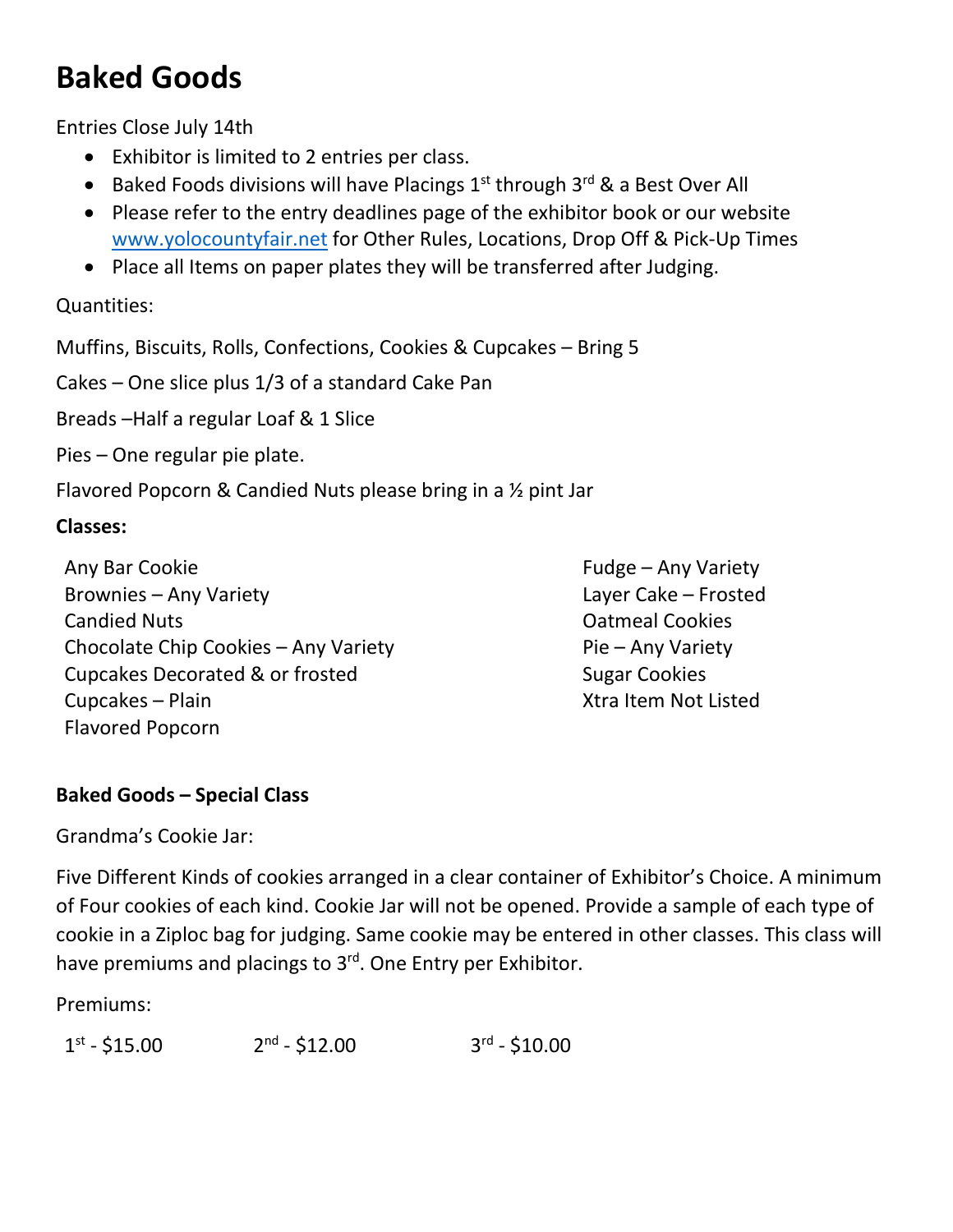## **Baked Goods**

Entries Close July 14th

- Exhibitor is limited to 2 entries per class.
- Baked Foods divisions will have Placings  $1<sup>st</sup>$  through  $3<sup>rd</sup>$  & a Best Over All
- Please refer to the entry deadlines page of the exhibitor book or our website [www.yolocountyfair.net](http://www.yolocountyfair.net/) for Other Rules, Locations, Drop Off & Pick-Up Times
- Place all Items on paper plates they will be transferred after Judging.

Quantities:

Muffins, Biscuits, Rolls, Confections, Cookies & Cupcakes – Bring 5

Cakes – One slice plus 1/3 of a standard Cake Pan

Breads –Half a regular Loaf & 1 Slice

Pies – One regular pie plate.

Flavored Popcorn & Candied Nuts please bring in a ½ pint Jar

### **Classes:**

Any Bar Cookie **Fulle Any Bar Cookie** Function **Fudge** – Any Variety Brownies – Any Variety **Layer Cake – Frosted** Candied Nuts Oatmeal Cookies Chocolate Chip Cookies – Any Variety **Pie – Any Variety** Cupcakes Decorated & or frosted Sugar Cookies Cupcakes – Plain Xtra Item Not Listed Flavored Popcorn

### **Baked Goods – Special Class**

Grandma's Cookie Jar:

Five Different Kinds of cookies arranged in a clear container of Exhibitor's Choice. A minimum of Four cookies of each kind. Cookie Jar will not be opened. Provide a sample of each type of cookie in a Ziploc bag for judging. Same cookie may be entered in other classes. This class will have premiums and placings to 3<sup>rd</sup>. One Entry per Exhibitor.

Premiums: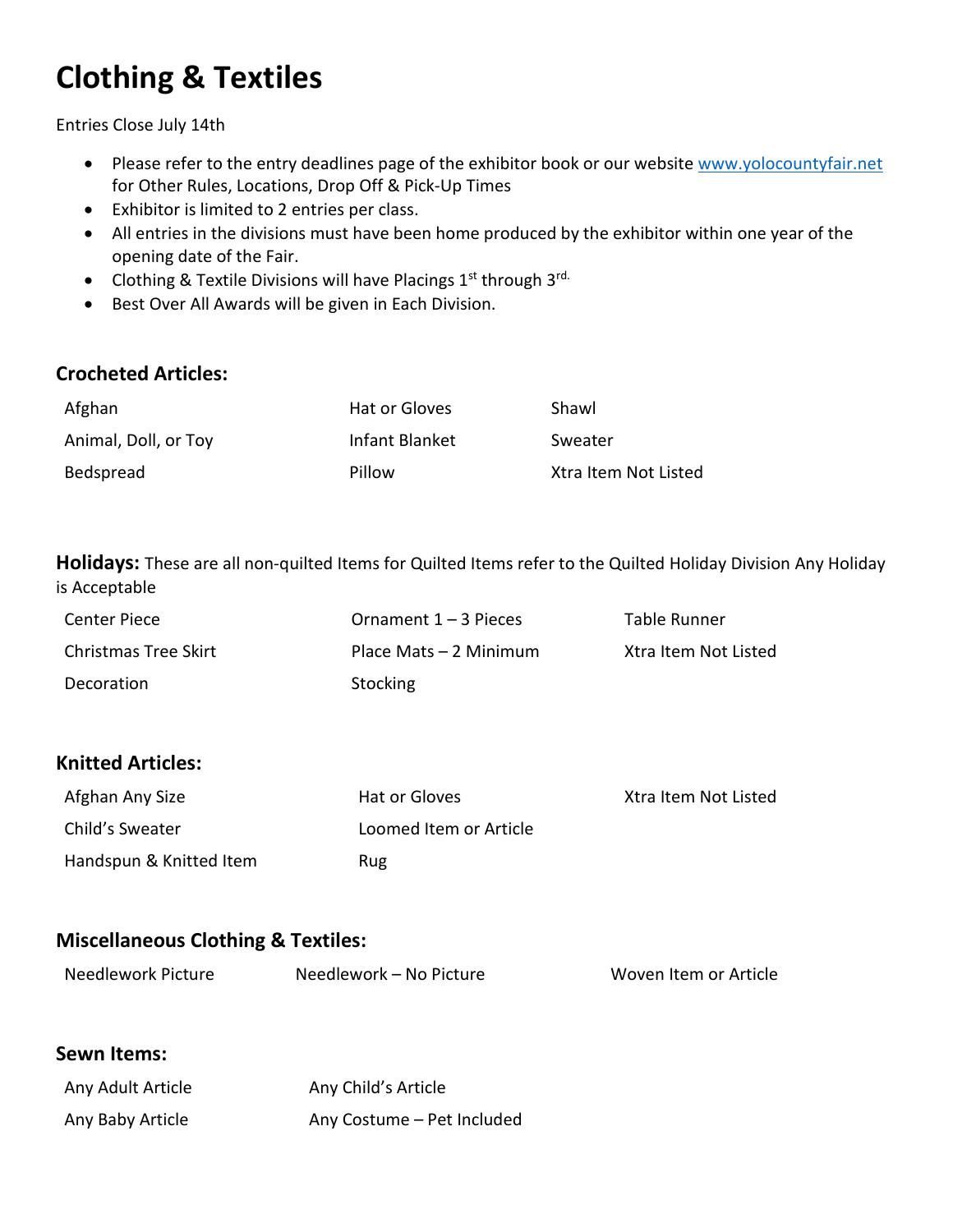## **Clothing & Textiles**

Entries Close July 14th

- Please refer to the entry deadlines page of the exhibitor book or our website [www.yolocountyfair.net](http://www.yolocountyfair.net/) for Other Rules, Locations, Drop Off & Pick-Up Times
- Exhibitor is limited to 2 entries per class.
- All entries in the divisions must have been home produced by the exhibitor within one year of the opening date of the Fair.
- Clothing & Textile Divisions will have Placings  $1<sup>st</sup>$  through  $3<sup>rd</sup>$ .
- Best Over All Awards will be given in Each Division.

#### **Crocheted Articles:**

| Afghan               | Hat or Gloves  | Shawl                |
|----------------------|----------------|----------------------|
| Animal, Doll, or Toy | Infant Blanket | Sweater              |
| Bedspread            | Pillow         | Xtra Item Not Listed |

**Holidays:** These are all non-quilted Items for Quilted Items refer to the Quilted Holiday Division Any Holiday is Acceptable

| Center Piece         | Ornament $1 - 3$ Pieces | Table Runner         |
|----------------------|-------------------------|----------------------|
| Christmas Tree Skirt | Place Mats – 2 Minimum  | Xtra Item Not Listed |
| Decoration           | Stocking                |                      |

### **Knitted Articles:**

| Afghan Any Size         | Hat or Gloves          | Xtra Item Not Listed |
|-------------------------|------------------------|----------------------|
| Child's Sweater         | Loomed Item or Article |                      |
| Handspun & Knitted Item | Rug                    |                      |

### **Miscellaneous Clothing & Textiles:**

| Needlework Picture | Needlework - No Picture | Woven Item or Article |
|--------------------|-------------------------|-----------------------|
|                    |                         |                       |

#### **Sewn Items:**

| Any Adult Article | Any Child's Article        |
|-------------------|----------------------------|
| Any Baby Article  | Any Costume - Pet Included |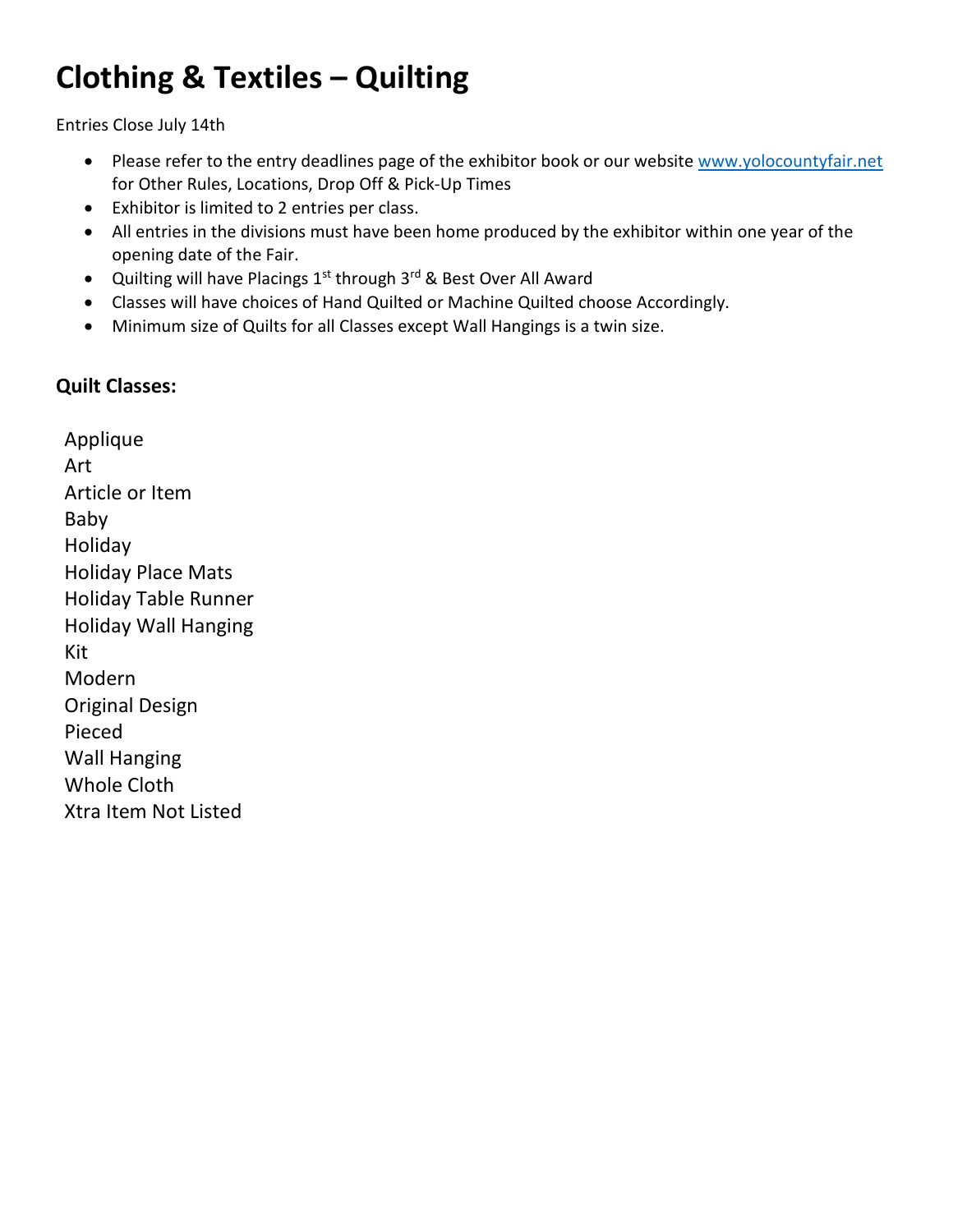## **Clothing & Textiles – Quilting**

Entries Close July 14th

- Please refer to the entry deadlines page of the exhibitor book or our website [www.yolocountyfair.net](http://www.yolocountyfair.net/) for Other Rules, Locations, Drop Off & Pick-Up Times
- Exhibitor is limited to 2 entries per class.
- All entries in the divisions must have been home produced by the exhibitor within one year of the opening date of the Fair.
- Quilting will have Placings 1<sup>st</sup> through 3<sup>rd</sup> & Best Over All Award
- Classes will have choices of Hand Quilted or Machine Quilted choose Accordingly.
- Minimum size of Quilts for all Classes except Wall Hangings is a twin size.

### **Quilt Classes:**

Applique Art Article or Item Baby Holiday Holiday Place Mats Holiday Table Runner Holiday Wall Hanging Kit Modern Original Design Pieced Wall Hanging Whole Cloth Xtra Item Not Listed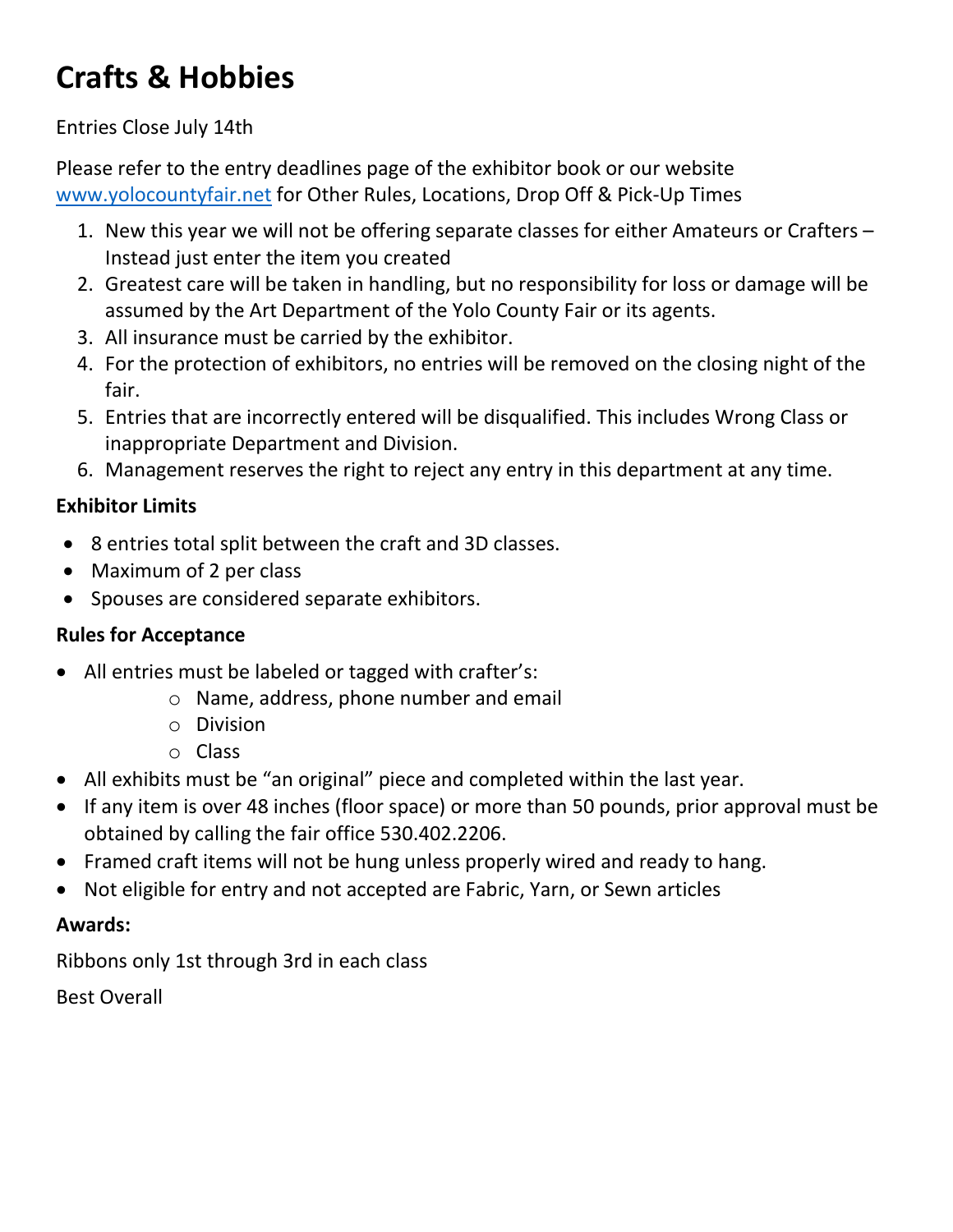## **Crafts & Hobbies**

### Entries Close July 14th

Please refer to the entry deadlines page of the exhibitor book or our website [www.yolocountyfair.net](http://www.yolocountyfair.net/) for Other Rules, Locations, Drop Off & Pick-Up Times

- 1. New this year we will not be offering separate classes for either Amateurs or Crafters Instead just enter the item you created
- 2. Greatest care will be taken in handling, but no responsibility for loss or damage will be assumed by the Art Department of the Yolo County Fair or its agents.
- 3. All insurance must be carried by the exhibitor.
- 4. For the protection of exhibitors, no entries will be removed on the closing night of the fair.
- 5. Entries that are incorrectly entered will be disqualified. This includes Wrong Class or inappropriate Department and Division.
- 6. Management reserves the right to reject any entry in this department at any time.

### **Exhibitor Limits**

- 8 entries total split between the craft and 3D classes.
- Maximum of 2 per class
- Spouses are considered separate exhibitors.

### **Rules for Acceptance**

- All entries must be labeled or tagged with crafter's:
	- o Name, address, phone number and email
	- o Division
	- o Class
- All exhibits must be "an original" piece and completed within the last year.
- If any item is over 48 inches (floor space) or more than 50 pounds, prior approval must be obtained by calling the fair office 530.402.2206.
- Framed craft items will not be hung unless properly wired and ready to hang.
- Not eligible for entry and not accepted are Fabric, Yarn, or Sewn articles

### **Awards:**

Ribbons only 1st through 3rd in each class

Best Overall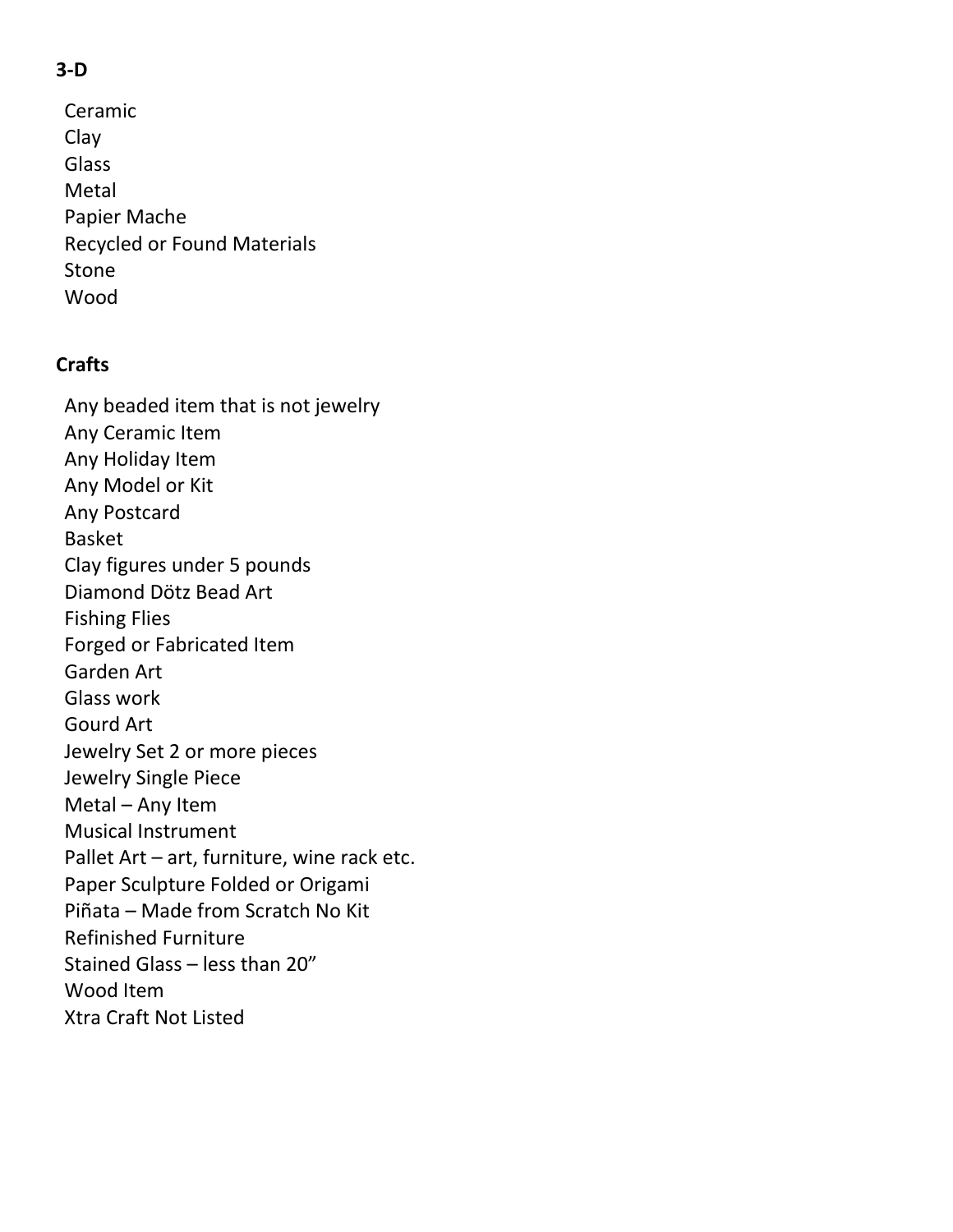### **3-D**

Ceramic Clay Glass Metal Papier Mache Recycled or Found Materials Stone Wood

### **Crafts**

Any beaded item that is not jewelry Any Ceramic Item Any Holiday Item Any Model or Kit Any Postcard Basket Clay figures under 5 pounds Diamond Dötz Bead Art Fishing Flies Forged or Fabricated Item Garden Art Glass work Gourd Art Jewelry Set 2 or more pieces Jewelry Single Piece Metal – Any Item Musical Instrument Pallet Art – art, furniture, wine rack etc. Paper Sculpture Folded or Origami Piñata – Made from Scratch No Kit Refinished Furniture Stained Glass – less than 20" Wood Item Xtra Craft Not Listed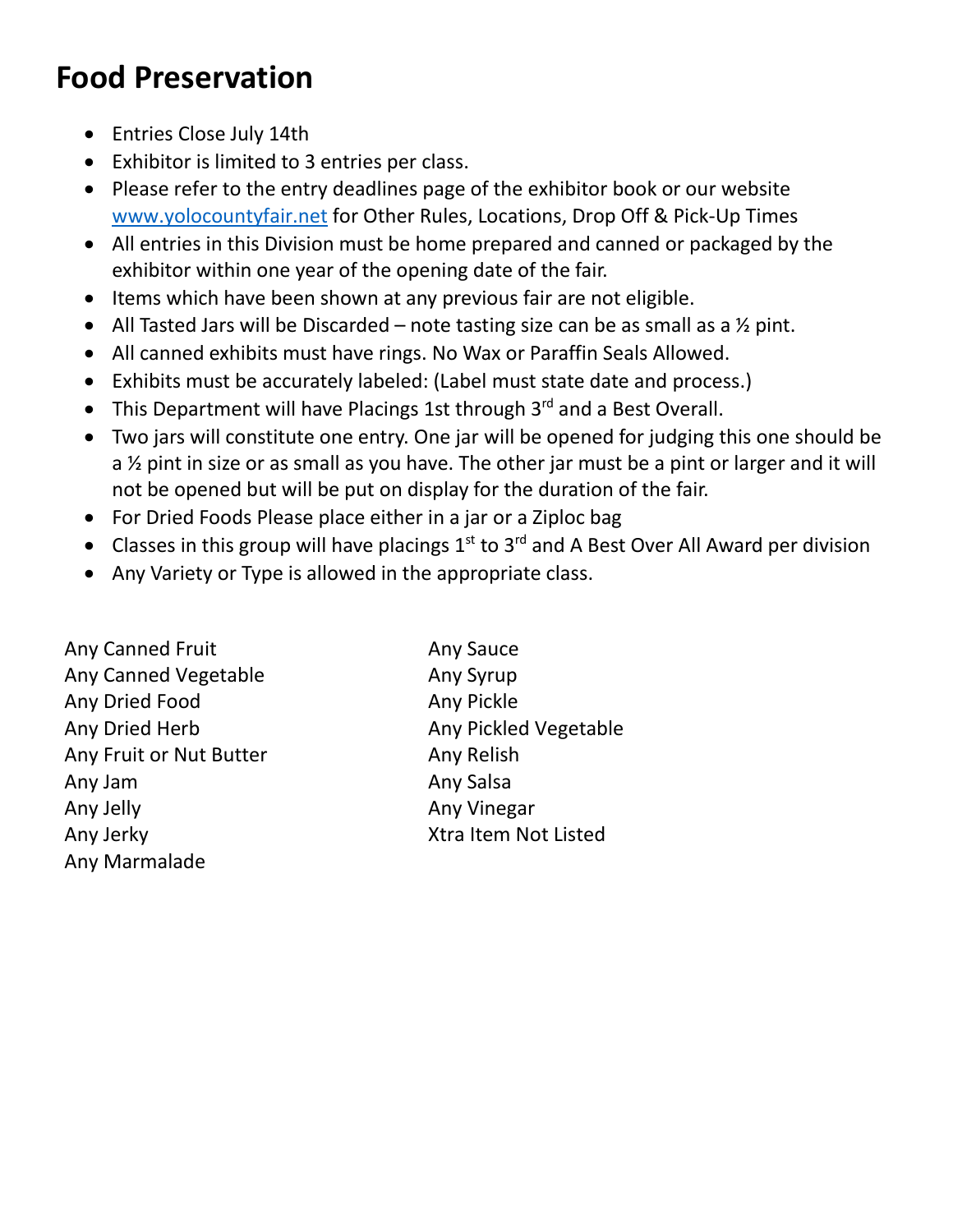## **Food Preservation**

- Entries Close July 14th
- Exhibitor is limited to 3 entries per class.
- Please refer to the entry deadlines page of the exhibitor book or our website [www.yolocountyfair.net](http://www.yolocountyfair.net/) for Other Rules, Locations, Drop Off & Pick-Up Times
- All entries in this Division must be home prepared and canned or packaged by the exhibitor within one year of the opening date of the fair.
- Items which have been shown at any previous fair are not eligible.
- All Tasted Jars will be Discarded note tasting size can be as small as a  $\frac{1}{2}$  pint.
- All canned exhibits must have rings. No Wax or Paraffin Seals Allowed.
- Exhibits must be accurately labeled: (Label must state date and process.)
- This Department will have Placings 1st through  $3<sup>rd</sup>$  and a Best Overall.
- Two jars will constitute one entry. One jar will be opened for judging this one should be a ½ pint in size or as small as you have. The other jar must be a pint or larger and it will not be opened but will be put on display for the duration of the fair.
- For Dried Foods Please place either in a jar or a Ziploc bag
- Classes in this group will have placings  $1<sup>st</sup>$  to  $3<sup>rd</sup>$  and A Best Over All Award per division
- Any Variety or Type is allowed in the appropriate class.

Any Canned Fruit Any Sauce Any Canned Vegetable **Any Syrup** Any Dried Food Any Pickle Any Dried Herb Any Pickled Vegetable Any Fruit or Nut Butter Any Relish Any Jam Any Salsa Any Jelly Any Vinegar Any Jerky Xtra Item Not Listed Any Marmalade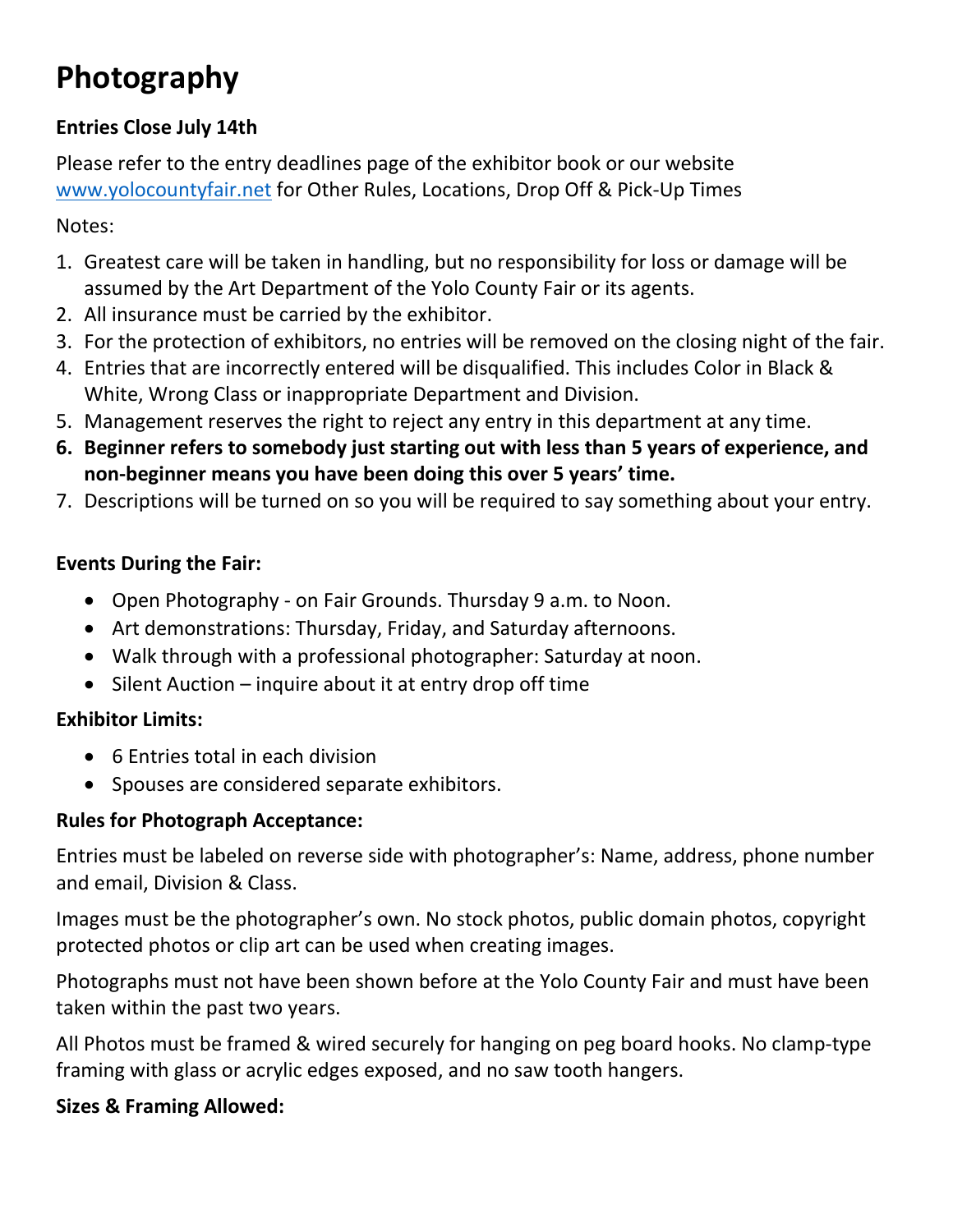## **Photography**

### **Entries Close July 14th**

Please refer to the entry deadlines page of the exhibitor book or our website [www.yolocountyfair.net](http://www.yolocountyfair.net/) for Other Rules, Locations, Drop Off & Pick-Up Times

Notes:

- 1. Greatest care will be taken in handling, but no responsibility for loss or damage will be assumed by the Art Department of the Yolo County Fair or its agents.
- 2. All insurance must be carried by the exhibitor.
- 3. For the protection of exhibitors, no entries will be removed on the closing night of the fair.
- 4. Entries that are incorrectly entered will be disqualified. This includes Color in Black & White, Wrong Class or inappropriate Department and Division.
- 5. Management reserves the right to reject any entry in this department at any time.
- **6. Beginner refers to somebody just starting out with less than 5 years of experience, and non-beginner means you have been doing this over 5 years' time.**
- 7. Descriptions will be turned on so you will be required to say something about your entry.

### **Events During the Fair:**

- Open Photography on Fair Grounds. Thursday 9 a.m. to Noon.
- Art demonstrations: Thursday, Friday, and Saturday afternoons.
- Walk through with a professional photographer: Saturday at noon.
- Silent Auction inquire about it at entry drop off time

### **Exhibitor Limits:**

- 6 Entries total in each division
- Spouses are considered separate exhibitors.

### **Rules for Photograph Acceptance:**

Entries must be labeled on reverse side with photographer's: Name, address, phone number and email, Division & Class.

Images must be the photographer's own. No stock photos, public domain photos, copyright protected photos or clip art can be used when creating images.

Photographs must not have been shown before at the Yolo County Fair and must have been taken within the past two years.

All Photos must be framed & wired securely for hanging on peg board hooks. No clamp-type framing with glass or acrylic edges exposed, and no saw tooth hangers.

### **Sizes & Framing Allowed:**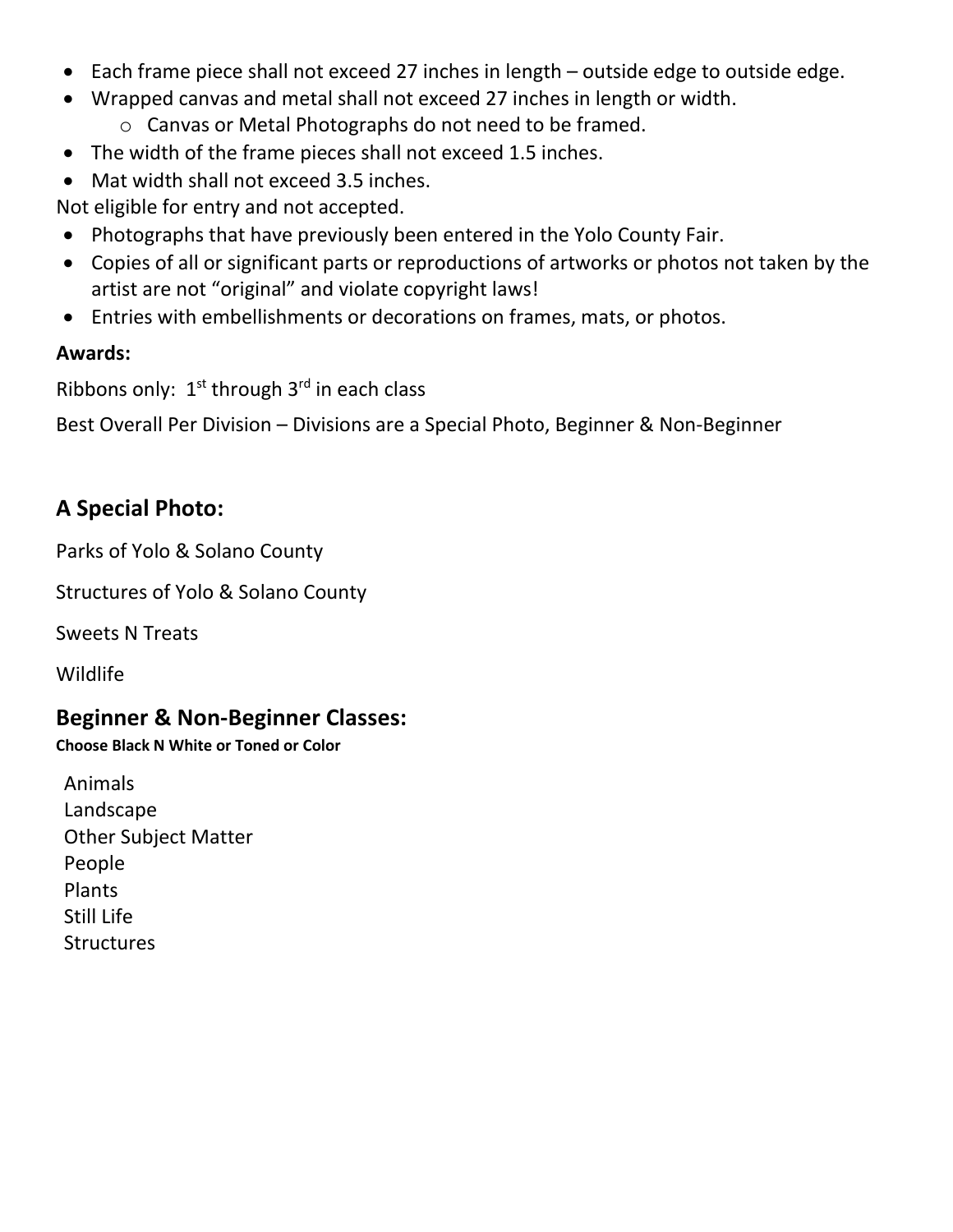- Each frame piece shall not exceed 27 inches in length outside edge to outside edge.
- Wrapped canvas and metal shall not exceed 27 inches in length or width.
	- o Canvas or Metal Photographs do not need to be framed.
- The width of the frame pieces shall not exceed 1.5 inches.
- Mat width shall not exceed 3.5 inches.

Not eligible for entry and not accepted.

- Photographs that have previously been entered in the Yolo County Fair.
- Copies of all or significant parts or reproductions of artworks or photos not taken by the artist are not "original" and violate copyright laws!
- Entries with embellishments or decorations on frames, mats, or photos.

### **Awards:**

Ribbons only:  $1<sup>st</sup>$  through  $3<sup>rd</sup>$  in each class

Best Overall Per Division – Divisions are a Special Photo, Beginner & Non-Beginner

## **A Special Photo:**

Parks of Yolo & Solano County

Structures of Yolo & Solano County

Sweets N Treats

Wildlife

### **Beginner & Non-Beginner Classes:**

**Choose Black N White or Toned or Color** 

Animals Landscape Other Subject Matter People Plants Still Life **Structures**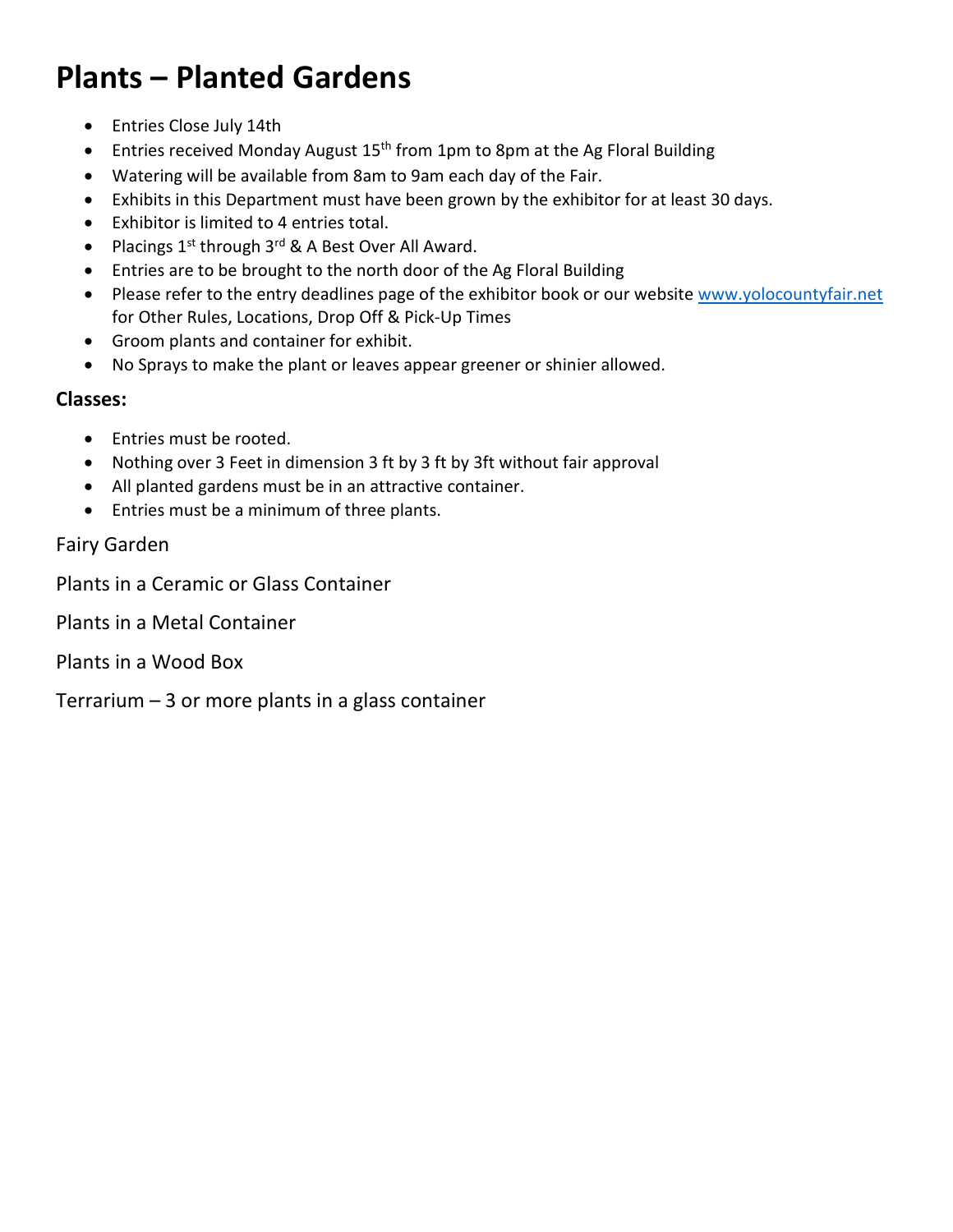## **Plants – Planted Gardens**

- Entries Close July 14th
- Entries received Monday August  $15<sup>th</sup>$  from 1pm to 8pm at the Ag Floral Building
- Watering will be available from 8am to 9am each day of the Fair.
- Exhibits in this Department must have been grown by the exhibitor for at least 30 days.
- Exhibitor is limited to 4 entries total.
- Placings  $1^{st}$  through  $3^{rd}$  & A Best Over All Award.
- Entries are to be brought to the north door of the Ag Floral Building
- Please refer to the entry deadlines page of the exhibitor book or our website [www.yolocountyfair.net](http://www.yolocountyfair.net/) for Other Rules, Locations, Drop Off & Pick-Up Times
- Groom plants and container for exhibit.
- No Sprays to make the plant or leaves appear greener or shinier allowed.

#### **Classes:**

- Entries must be rooted.
- Nothing over 3 Feet in dimension 3 ft by 3 ft by 3ft without fair approval
- All planted gardens must be in an attractive container.
- Entries must be a minimum of three plants.

#### Fairy Garden

Plants in a Ceramic or Glass Container

Plants in a Metal Container

Plants in a Wood Box

Terrarium  $-3$  or more plants in a glass container